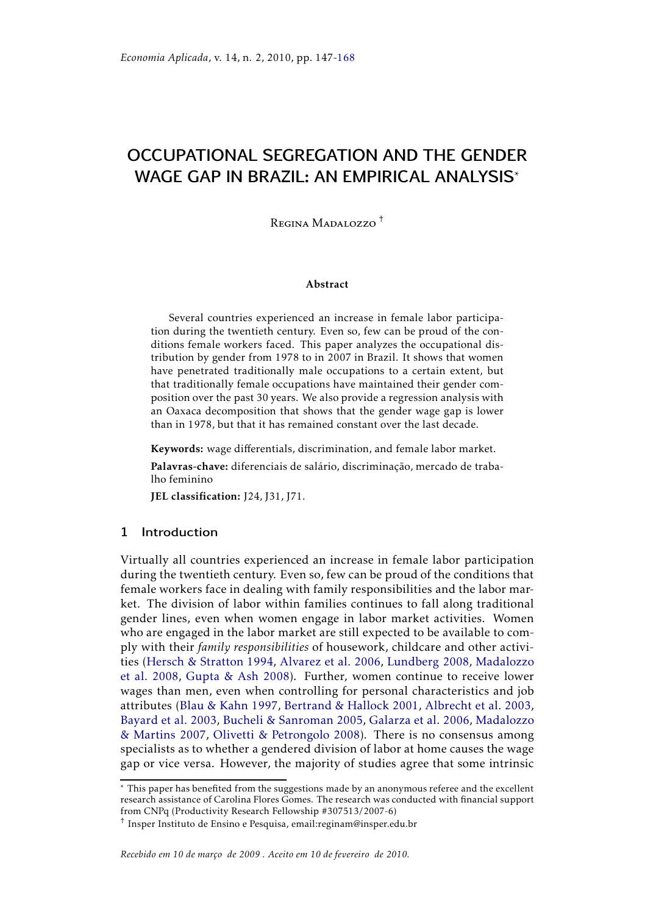# OCCUPATIONAL SEGREGATION AND THE GENDER WAGE GAP IN BRAZIL: AN EMPIRICAL ANALYSIS\*

Regina Madalozzo †

#### Abstract

Several countries experienced an increase in female labor participation during the twentieth century. Even so, few can be proud of the conditions female workers faced. This paper analyzes the occupational distribution by gender from 1978 to in 2007 in Brazil. It shows that women have penetrated traditionally male occupations to a certain extent, but that traditionally female occupations have maintained their gender composition over the past 30 years. We also provide a regression analysis with an Oaxaca decomposition that shows that the gender wage gap is lower than in 1978, but that it has remained constant over the last decade.

Keywords: wage differentials, discrimination, and female labor market.

Palavras-chave: diferenciais de salário, discriminação, mercado de trabalho feminino

JEL classification: J24, J31, J71.

## 1 Introduction

Virtually all countries experienced an increase in female labor participation during the twentieth century. Even so, few can be proud of the conditions that female workers face in dealing with family responsibilities and the labor market. The division of labor within families continues to fall along traditional gender lines, even when women engage in labor market activities. Women who are engaged in the labor market are still expected to be available to comply with their *family responsibilities* of housework, childcare and other activities (Hersch & Stratton 1994, Alvarez et al. 2006, Lundberg 2008, Madalozzo et al. 2008, Gupta & Ash 2008). Further, women continue to receive lower wages than men, even when controlling for personal characteristics and job attributes (Blau & Kahn 1997, Bertrand & Hallock 2001, Albrecht et al. 2003, Bayard et al. 2003, Bucheli & Sanroman 2005, Galarza et al. 2006, Madalozzo & Martins 2007, Olivetti & Petrongolo 2008). There is no consensus among specialists as to whether a gendered division of labor at home causes the wage gap or vice versa. However, the majority of studies agree that some intrinsic

<sup>\*</sup> This paper has benefited from the suggestions made by an anonymous referee and the excellent research assistance of Carolina Flores Gomes. The research was conducted with financial support from CNPq (Productivity Research Fellowship #307513/2007-6)

<sup>†</sup> Insper Instituto de Ensino e Pesquisa, email:reginam@insper.edu.br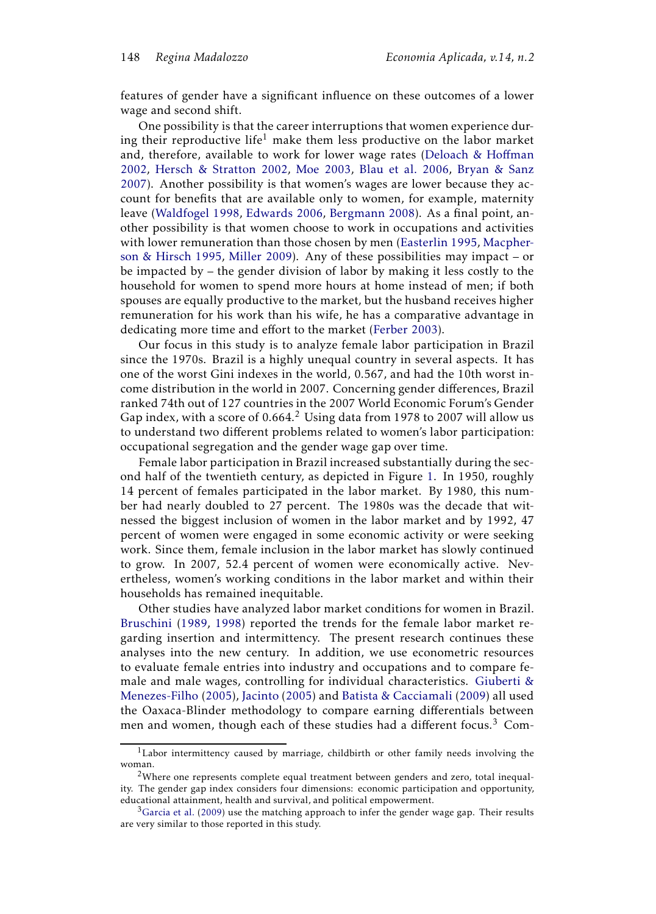features of gender have a significant influence on these outcomes of a lower wage and second shift.

One possibility is that the career interruptions that women experience during their reproductive life<sup>1</sup> make them less productive on the labor market and, therefore, available to work for lower wage rates (Deloach & Hoffman 2002, Hersch & Stratton 2002, Moe 2003, Blau et al. 2006, Bryan & Sanz 2007). Another possibility is that women's wages are lower because they account for benefits that are available only to women, for example, maternity leave (Waldfogel 1998, Edwards 2006, Bergmann 2008). As a final point, another possibility is that women choose to work in occupations and activities with lower remuneration than those chosen by men (Easterlin 1995, Macpherson & Hirsch 1995, Miller 2009). Any of these possibilities may impact – or be impacted by – the gender division of labor by making it less costly to the household for women to spend more hours at home instead of men; if both spouses are equally productive to the market, but the husband receives higher remuneration for his work than his wife, he has a comparative advantage in dedicating more time and effort to the market (Ferber 2003).

Our focus in this study is to analyze female labor participation in Brazil since the 1970s. Brazil is a highly unequal country in several aspects. It has one of the worst Gini indexes in the world, 0.567, and had the 10th worst income distribution in the world in 2007. Concerning gender differences, Brazil ranked 74th out of 127 countries in the 2007 World Economic Forum's Gender Gap index, with a score of  $0.664$ .<sup>2</sup> Using data from 1978 to 2007 will allow us to understand two different problems related to women's labor participation: occupational segregation and the gender wage gap over time.

Female labor participation in Brazil increased substantially during the second half of the twentieth century, as depicted in Figure 1. In 1950, roughly 14 percent of females participated in the labor market. By 1980, this number had nearly doubled to 27 percent. The 1980s was the decade that witnessed the biggest inclusion of women in the labor market and by 1992, 47 percent of women were engaged in some economic activity or were seeking work. Since them, female inclusion in the labor market has slowly continued to grow. In 2007, 52.4 percent of women were economically active. Nevertheless, women's working conditions in the labor market and within their households has remained inequitable.

Other studies have analyzed labor market conditions for women in Brazil. Bruschini (1989, 1998) reported the trends for the female labor market regarding insertion and intermittency. The present research continues these analyses into the new century. In addition, we use econometric resources to evaluate female entries into industry and occupations and to compare female and male wages, controlling for individual characteristics. Giuberti & Menezes-Filho (2005), Jacinto (2005) and Batista & Cacciamali (2009) all used the Oaxaca-Blinder methodology to compare earning differentials between men and women, though each of these studies had a different focus.<sup>3</sup> Com-

 $1$ Labor intermittency caused by marriage, childbirth or other family needs involving the woman.

 $2$ Where one represents complete equal treatment between genders and zero, total inequality. The gender gap index considers four dimensions: economic participation and opportunity, educational attainment, health and survival, and political empowerment.

 $3$ Garcia et al. (2009) use the matching approach to infer the gender wage gap. Their results are very similar to those reported in this study.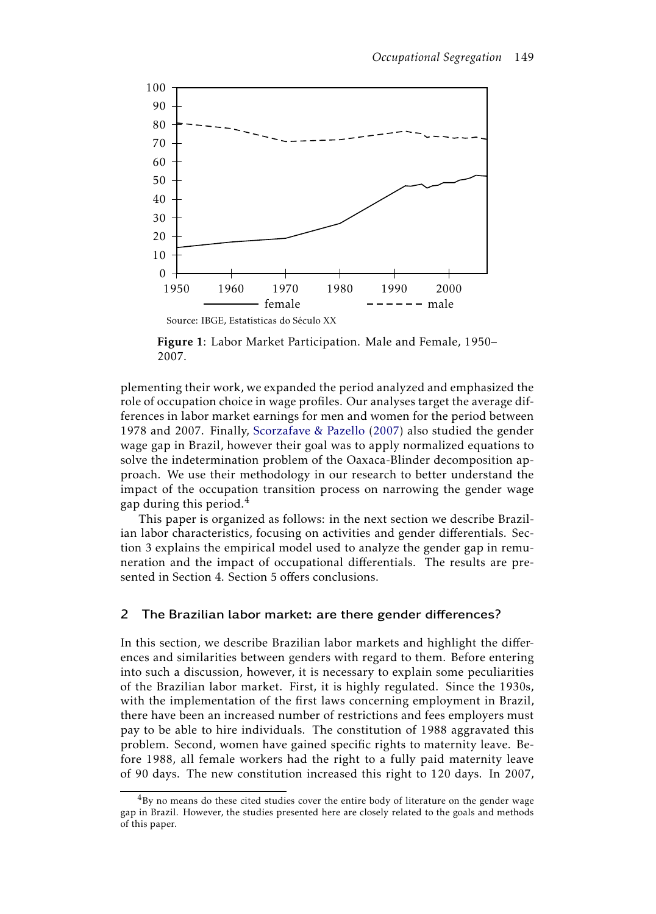

Figure 1: Labor Market Participation. Male and Female, 1950– 2007.

plementing their work, we expanded the period analyzed and emphasized the role of occupation choice in wage profiles. Our analyses target the average differences in labor market earnings for men and women for the period between 1978 and 2007. Finally, Scorzafave & Pazello (2007) also studied the gender wage gap in Brazil, however their goal was to apply normalized equations to solve the indetermination problem of the Oaxaca-Blinder decomposition approach. We use their methodology in our research to better understand the impact of the occupation transition process on narrowing the gender wage gap during this period. $4$ 

This paper is organized as follows: in the next section we describe Brazilian labor characteristics, focusing on activities and gender differentials. Section 3 explains the empirical model used to analyze the gender gap in remuneration and the impact of occupational differentials. The results are presented in Section 4. Section 5 offers conclusions.

## 2 The Brazilian labor market: are there gender differences?

In this section, we describe Brazilian labor markets and highlight the differences and similarities between genders with regard to them. Before entering into such a discussion, however, it is necessary to explain some peculiarities of the Brazilian labor market. First, it is highly regulated. Since the 1930s, with the implementation of the first laws concerning employment in Brazil, there have been an increased number of restrictions and fees employers must pay to be able to hire individuals. The constitution of 1988 aggravated this problem. Second, women have gained specific rights to maternity leave. Before 1988, all female workers had the right to a fully paid maternity leave of 90 days. The new constitution increased this right to 120 days. In 2007,

 $4By$  no means do these cited studies cover the entire body of literature on the gender wage gap in Brazil. However, the studies presented here are closely related to the goals and methods of this paper.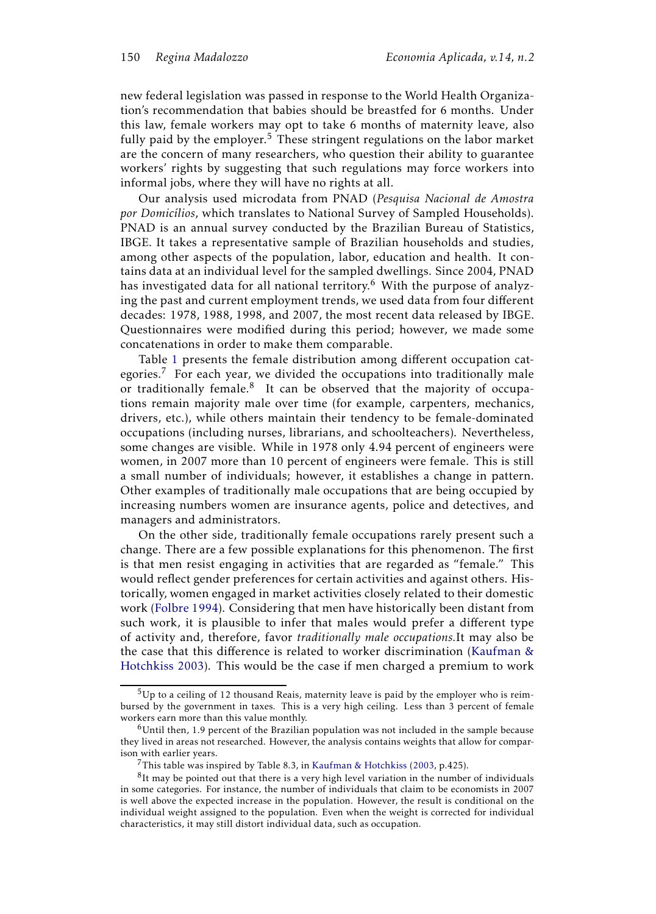new federal legislation was passed in response to the World Health Organization's recommendation that babies should be breastfed for 6 months. Under this law, female workers may opt to take 6 months of maternity leave, also fully paid by the employer.<sup>5</sup> These stringent regulations on the labor market are the concern of many researchers, who question their ability to guarantee workers' rights by suggesting that such regulations may force workers into informal jobs, where they will have no rights at all.

Our analysis used microdata from PNAD (*Pesquisa Nacional de Amostra por Domicílios*, which translates to National Survey of Sampled Households). PNAD is an annual survey conducted by the Brazilian Bureau of Statistics, IBGE. It takes a representative sample of Brazilian households and studies, among other aspects of the population, labor, education and health. It contains data at an individual level for the sampled dwellings. Since 2004, PNAD has investigated data for all national territory.<sup>6</sup> With the purpose of analyzing the past and current employment trends, we used data from four different decades: 1978, 1988, 1998, and 2007, the most recent data released by IBGE. Questionnaires were modified during this period; however, we made some concatenations in order to make them comparable.

Table 1 presents the female distribution among different occupation categories.<sup>7</sup> For each year, we divided the occupations into traditionally male or traditionally female.<sup>8</sup> It can be observed that the majority of occupations remain majority male over time (for example, carpenters, mechanics, drivers, etc.), while others maintain their tendency to be female-dominated occupations (including nurses, librarians, and schoolteachers). Nevertheless, some changes are visible. While in 1978 only 4.94 percent of engineers were women, in 2007 more than 10 percent of engineers were female. This is still a small number of individuals; however, it establishes a change in pattern. Other examples of traditionally male occupations that are being occupied by increasing numbers women are insurance agents, police and detectives, and managers and administrators.

On the other side, traditionally female occupations rarely present such a change. There are a few possible explanations for this phenomenon. The first is that men resist engaging in activities that are regarded as "female." This would reflect gender preferences for certain activities and against others. Historically, women engaged in market activities closely related to their domestic work (Folbre 1994). Considering that men have historically been distant from such work, it is plausible to infer that males would prefer a different type of activity and, therefore, favor *traditionally male occupations.*It may also be the case that this difference is related to worker discrimination (Kaufman & Hotchkiss 2003). This would be the case if men charged a premium to work

 $5$ Up to a ceiling of 12 thousand Reais, maternity leave is paid by the employer who is reimbursed by the government in taxes. This is a very high ceiling. Less than 3 percent of female workers earn more than this value monthly.

 $6$ Until then, 1.9 percent of the Brazilian population was not included in the sample because they lived in areas not researched. However, the analysis contains weights that allow for comparison with earlier years.

<sup>&</sup>lt;sup>7</sup>This table was inspired by Table 8.3, in Kaufman & Hotchkiss (2003, p.425).

 ${}^{8}$ It may be pointed out that there is a very high level variation in the number of individuals in some categories. For instance, the number of individuals that claim to be economists in 2007 is well above the expected increase in the population. However, the result is conditional on the individual weight assigned to the population. Even when the weight is corrected for individual characteristics, it may still distort individual data, such as occupation.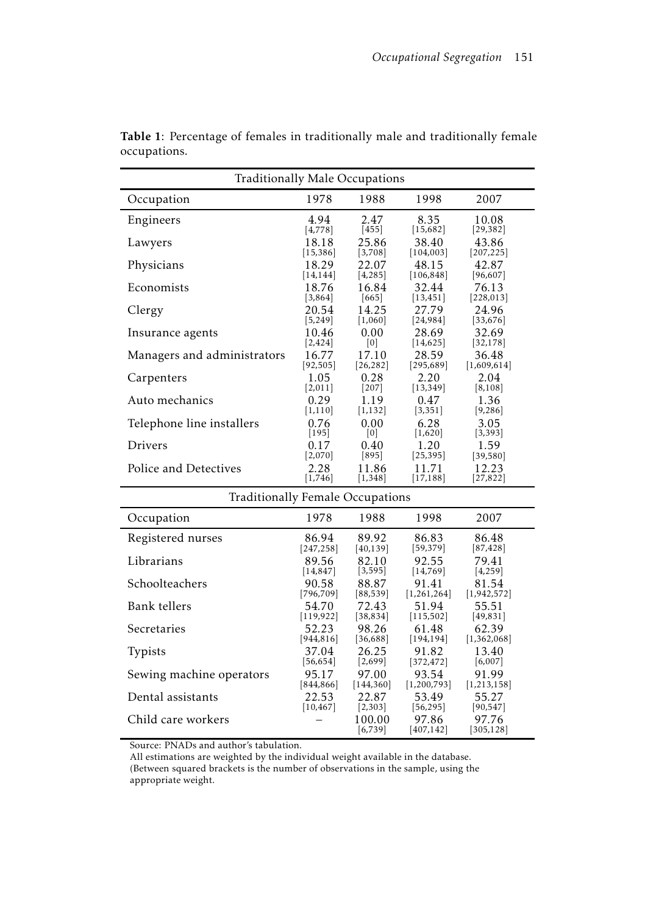| Traditionally Male Occupations   |            |                   |                    |                    |
|----------------------------------|------------|-------------------|--------------------|--------------------|
| Occupation                       | 1978       | 1988              | 1998               | 2007               |
| Engineers                        | 4.94       | 2.47              | 8.35               | 10.08              |
|                                  | [4, 778]   | $[455]$           | [15,682]           | [29, 382]          |
| Lawyers                          | 18.18      | 25.86             | 38.40              | 43.86              |
|                                  | [15, 386]  | [3,708]           | [104, 003]         | [207, 225]         |
| Physicians                       | 18.29      | 22.07             | 48.15              | 42.87              |
| Economists                       | [14, 144]  | [4,285]           | [106, 848]         | [96, 607]          |
|                                  | 18.76      | 16.84             | 32.44              | 76.13              |
| Clergy                           | [3,864]    | $[665]$           | [13, 451]          | [228, 013]         |
|                                  | 20.54      | 14.25             | 27.79              | 24.96              |
| Insurance agents                 | [5,249]    | [1,060]           | [24, 984]          | [33, 676]          |
|                                  | 10.46      | 0.00              | 28.69              | 32.69              |
| Managers and administrators      | [2, 424]   | [0]               | [14, 625]          | [32, 178]          |
|                                  | 16.77      | 17.10             | 28.59              | 36.48              |
| Carpenters                       | [92, 505]  | [26, 282]         | [295, 689]         | [1,609,614]        |
|                                  | 1.05       | 0.28              | 2.20               | 2.04               |
| Auto mechanics                   | [2,011]    | $[207]$           | [13, 349]          | [8, 108]           |
|                                  | 0.29       | 1.19              | 0.47               | 1.36               |
| Telephone line installers        | [1, 110]   | [1, 132]          | [3, 351]           | [9,286]            |
|                                  | 0.76       | 0.00              | 6.28               | 3.05               |
| Drivers                          | $[195]$    | [0]               | [1,620]            | [3, 393]           |
|                                  | 0.17       | 0.40              | 1.20               | 1.59               |
|                                  | [2,070]    | $[895]$           | [25, 395]          | [39, 580]          |
| Police and Detectives            | 2.28       | 11.86             | 11.71              | 12.23              |
|                                  | [1, 746]   | [1,348]           | [17, 188]          | [27, 822]          |
| Traditionally Female Occupations |            |                   |                    |                    |
| Occupation                       | 1978       | 1988              | 1998               | 2007               |
| Registered nurses                | 86.94      | 89.92             | 86.83              | 86.48              |
|                                  | [247, 258] | [40, 139]         | [59, 379]          | [87, 428]          |
| Librarians                       | 89.56      | 82.10             | 92.55              | 79.41              |
|                                  | [14, 847]  | [3, 595]          | [14, 769]          | [4, 259]           |
| Schoolteachers                   | 90.58      | 88.87             | 91.41              | 81.54              |
|                                  | [796, 709] | [88, 539]         | [1,261,264]        | [1,942,572]        |
| <b>Bank</b> tellers              | 54.70      | 72.43             | 51.94              | 55.51              |
| Secretaries                      | [119, 922] | [38, 834]         | [115,502]          | [49, 831]          |
|                                  | 52.23      | 98.26             | 61.48              | 62.39              |
| Typists                          | [944, 816] | [36, 688]         | [194, 194]         | [1,362,068]        |
|                                  | 37.04      | 26.25             | 91.82              | 13.40              |
| Sewing machine operators         | [56, 654]  | [2,699]           | [372, 472]         | [6,007]            |
|                                  | 95.17      | 97.00             | 93.54              | 91.99              |
| Dental assistants                | [844, 866] | [144, 360]        | [1,200,793]        | [1, 213, 158]      |
|                                  | 22.53      | 22.87             | 53.49              | 55.27              |
| Child care workers               | [10, 467]  | [2,303]<br>100.00 | [56, 295]<br>97.86 | [90, 547]<br>97.76 |
|                                  |            | [6, 739]          | [407, 142]         | [305, 128]         |

Table 1: Percentage of females in traditionally male and traditionally female occupations.

Source: PNADs and author's tabulation.

All estimations are weighted by the individual weight available in the database. (Between squared brackets is the number of observations in the sample, using the appropriate weight.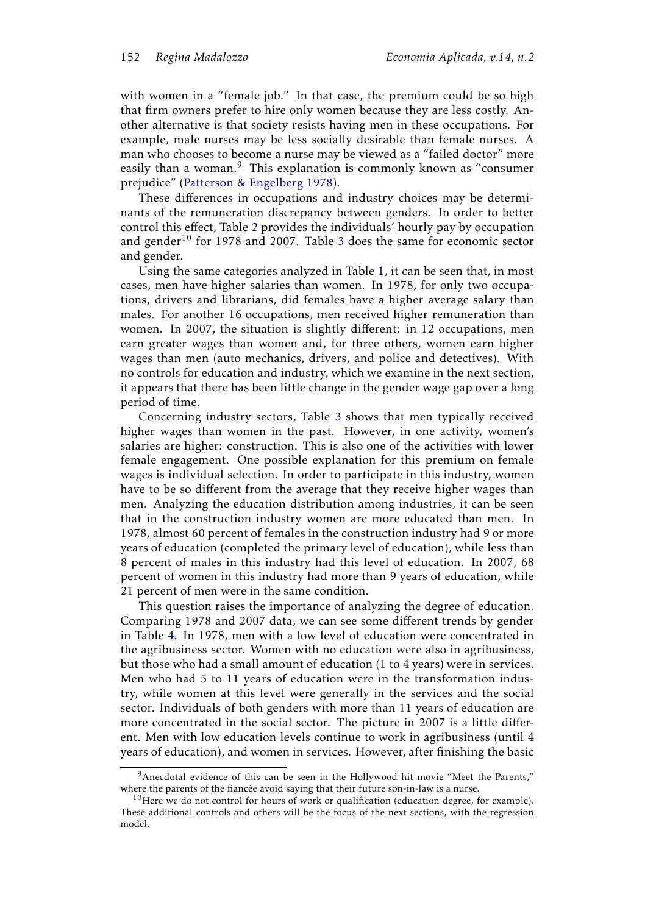with women in a "female job." In that case, the premium could be so high that firm owners prefer to hire only women because they are less costly. Another alternative is that society resists having men in these occupations. For example, male nurses may be less socially desirable than female nurses. A man who chooses to become a nurse may be viewed as a "failed doctor" more easily than a woman.<sup>9</sup> This explanation is commonly known as "consumer prejudice" (Patterson & Engelberg 1978).

These differences in occupations and industry choices may be determinants of the remuneration discrepancy between genders. In order to better control this effect, Table 2 provides the individuals' hourly pay by occupation and gender<sup>10</sup> for 1978 and 2007. Table 3 does the same for economic sector and gender.

Using the same categories analyzed in Table 1, it can be seen that, in most cases, men have higher salaries than women. In 1978, for only two occupations, drivers and librarians, did females have a higher average salary than males. For another 16 occupations, men received higher remuneration than women. In 2007, the situation is slightly different: in 12 occupations, men earn greater wages than women and, for three others, women earn higher wages than men (auto mechanics, drivers, and police and detectives). With no controls for education and industry, which we examine in the next section, it appears that there has been little change in the gender wage gap over a long period of time.

Concerning industry sectors, Table 3 shows that men typically received higher wages than women in the past. However, in one activity, women's salaries are higher: construction. This is also one of the activities with lower female engagement. One possible explanation for this premium on female wages is individual selection. In order to participate in this industry, women have to be so different from the average that they receive higher wages than men. Analyzing the education distribution among industries, it can be seen that in the construction industry women are more educated than men. In 1978, almost 60 percent of females in the construction industry had 9 or more years of education (completed the primary level of education), while less than 8 percent of males in this industry had this level of education. In 2007, 68 percent of women in this industry had more than 9 years of education, while 21 percent of men were in the same condition.

This question raises the importance of analyzing the degree of education. Comparing 1978 and 2007 data, we can see some different trends by gender in Table 4. In 1978, men with a low level of education were concentrated in the agribusiness sector. Women with no education were also in agribusiness, but those who had a small amount of education (1 to 4 years) were in services. Men who had 5 to 11 years of education were in the transformation industry, while women at this level were generally in the services and the social sector. Individuals of both genders with more than 11 years of education are more concentrated in the social sector. The picture in 2007 is a little different. Men with low education levels continue to work in agribusiness (until 4 years of education), and women in services. However, after finishing the basic

 $9$ Anecdotal evidence of this can be seen in the Hollywood hit movie "Meet the Parents," where the parents of the fiancée avoid saying that their future son-in-law is a nurse.

 $10$  Here we do not control for hours of work or qualification (education degree, for example). These additional controls and others will be the focus of the next sections, with the regression model.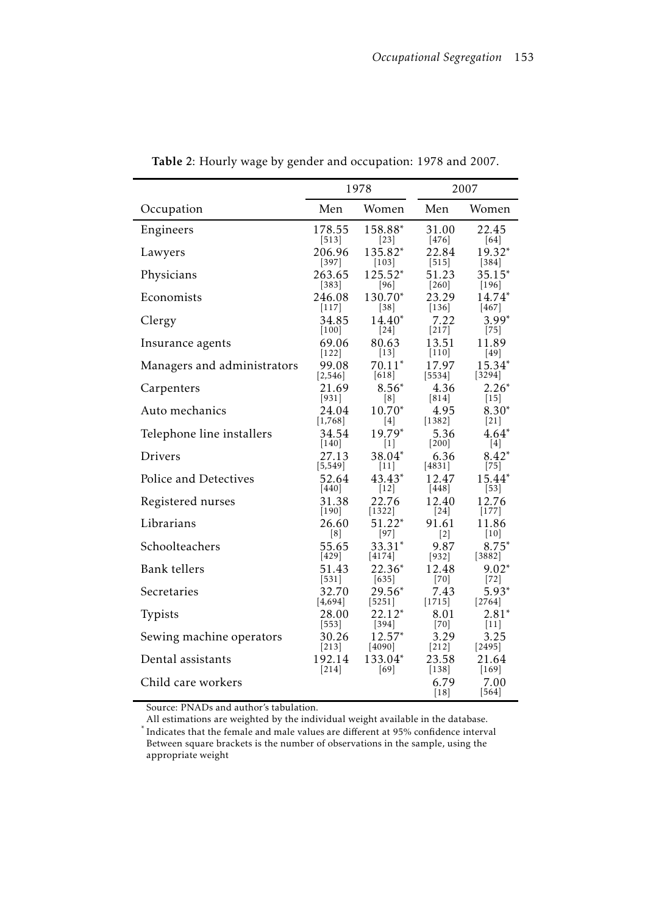|                             |                             | 1978                         |                        | 2007                       |
|-----------------------------|-----------------------------|------------------------------|------------------------|----------------------------|
| Occupation                  | Men                         | Women                        | Men                    | Women                      |
| Engineers                   | 178.55                      | 158.88*                      | 31.00                  | 22.45                      |
|                             | $[513]$                     | $[23]$                       | $[476]$                | $[64]$                     |
| Lawyers                     | 206.96                      | 135.82*                      | 22.84                  | 19.32*                     |
|                             | $[397]$                     | $\vert 103 \vert$            | $[515]$                | $\left[384\right]$         |
| Physicians                  | 263.65                      | 125.52*                      | 51.23                  | $35.15*$                   |
|                             | $[383]$                     | 96                           | $[260]$                | 196                        |
| Economists                  | 246.08                      | 130.70*                      | 23.29                  | $14.74*$                   |
|                             | $[117]$                     | 38                           | 136                    | 467                        |
| Clergy                      | 34.85                       | 14.40*                       | 7.22                   | $3.99*$                    |
|                             | 100                         | $[24]$                       | $[217]$                | $[75]$                     |
| Insurance agents            | 69.06                       | 80.63                        | 13.51                  | 11.89                      |
|                             | $[122]$                     | $[13]$                       | 110                    | $[49]$                     |
| Managers and administrators | 99.08                       | $70.11*$                     | 17.97                  | $15.34*$                   |
|                             | [2, 546]                    | $[618]$                      | 5534                   | [3294]                     |
| Carpenters                  | 21.69                       | $8.56*$                      | 4.36                   | $2.26*$                    |
|                             | $[931]$                     | $\lceil 8 \rceil$            | $[814]$                | $[15]$                     |
| Auto mechanics              | 24.04                       | $10.70*$                     | 4.95                   | $8.30*$                    |
|                             | [1,768]                     | [4]                          | $[1382]$               | $[21]$                     |
| Telephone line installers   | 34.54                       | 19.79*                       | 5.36                   | 4.64*                      |
|                             | $[140]$                     | $\lceil 1 \rceil$            | 200                    | [4]                        |
| <b>Drivers</b>              | 27.13                       | 38.04*                       | 6.36                   | $8.42*$                    |
|                             | $[5,549]$                   | 11                           | [4831]                 | $[75]$                     |
| Police and Detectives       | 52.64                       | 43.43 <sup>*</sup>           | 12.47                  | $15.44*$                   |
|                             | 440                         | 12                           | 448                    | 53                         |
| Registered nurses           | 31.38                       | 22.76                        | 12.40                  | 12.76                      |
|                             | 190                         | 1322                         | 24                     | 177                        |
| Librarians                  | 26.60                       | 51.22*                       | 91.61                  | 11.86                      |
| Schoolteachers              | [8]                         | $[97]$                       | $\left[2\right]$       | $[10]$                     |
|                             | 55.65                       | 33.31*                       | 9.87                   | $8.75*$                    |
| Bank tellers                | $[429]$                     | 4174                         | $\left[932\right]$     | [3882]                     |
|                             | 51.43                       | $22.36*$                     | 12.48                  | $9.02*$                    |
| Secretaries                 | $[531]$<br>32.70<br>[4,694] | 635 <br>$29.56*$<br>$[5251]$ | [70]<br>7.43<br>[1715] | 72 <br>5.93*               |
| Typists                     | 28.00<br>$[553]$            | $22.12*$<br>$[394]$          | 8.01<br>$[70]$         | 2764 <br>$2.81*$<br>$[11]$ |
| Sewing machine operators    | 30.26                       | $12.57*$                     | 3.29                   | 3.25                       |
|                             | 213                         | $[4090]$                     | $[212]$                | $[2495]$                   |
| Dental assistants           | 192.14                      | 133.04*                      | 23.58                  | 21.64                      |
|                             | 214                         | [69]                         | $[138]$                | $[169]$                    |
| Child care workers          |                             |                              | 6.79<br>$[18]$         | 7.00<br>$[564]$            |

Table 2: Hourly wage by gender and occupation: 1978 and 2007.

Source: PNADs and author's tabulation.

All estimations are weighted by the individual weight available in the database. *\** Indicates that the female and male values are different at 95% confidence interval Between square brackets is the number of observations in the sample, using the appropriate weight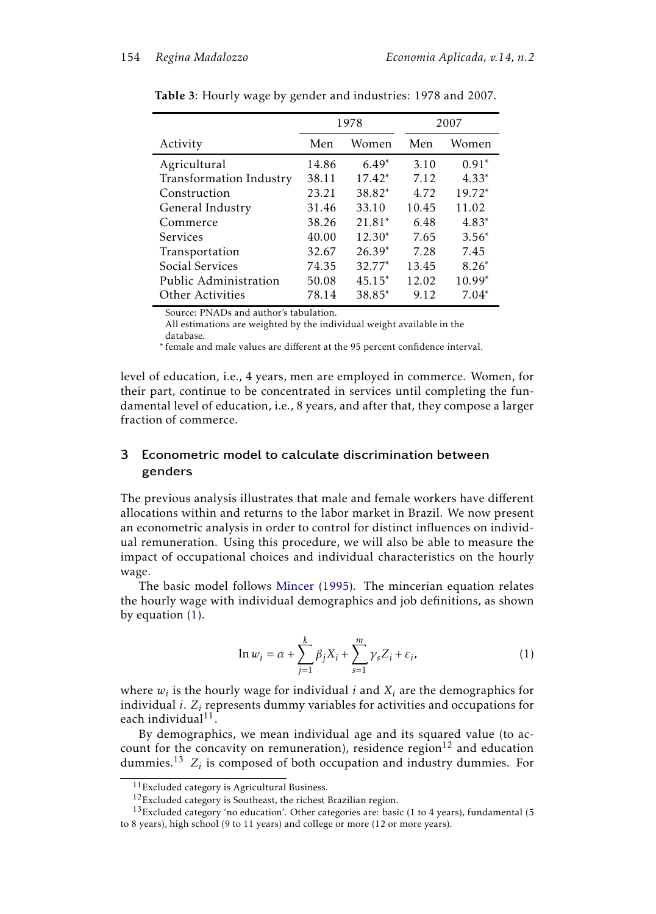|                         |       | 1978     |       | 2007     |
|-------------------------|-------|----------|-------|----------|
| Activity                | Men   | Women    | Men   | Women    |
| Agricultural            | 14.86 | $6.49*$  | 3.10  | $0.91*$  |
| Transformation Industry | 38.11 | $17.42*$ | 7.12  | $4.33*$  |
| Construction            | 23.21 | 38.82*   | 4.72  | $19.72*$ |
| General Industry        | 31.46 | 33.10    | 10.45 | 11.02    |
| Commerce                | 38.26 | $21.81*$ | 6.48  | $4.83*$  |
| <b>Services</b>         | 40.00 | $12.30*$ | 7.65  | $3.56*$  |
| Transportation          | 32.67 | $26.39*$ | 7.28  | 7.45     |
| Social Services         | 74.35 | 32.77*   | 13.45 | $8.26*$  |
| Public Administration   | 50.08 | $45.15*$ | 12.02 | $10.99*$ |
| Other Activities        | 78.14 | 38.85*   | 9.12  | $7.04*$  |

Table 3: Hourly wage by gender and industries: 1978 and 2007.

Source: PNADs and author's tabulation.

All estimations are weighted by the individual weight available in the database.

∗ female and male values are different at the 95 percent confidence interval.

level of education, i.e., 4 years, men are employed in commerce. Women, for their part, continue to be concentrated in services until completing the fundamental level of education, i.e., 8 years, and after that, they compose a larger fraction of commerce.

# 3 Econometric model to calculate discrimination between genders

The previous analysis illustrates that male and female workers have different allocations within and returns to the labor market in Brazil. We now present an econometric analysis in order to control for distinct influences on individual remuneration. Using this procedure, we will also be able to measure the impact of occupational choices and individual characteristics on the hourly wage.

The basic model follows Mincer (1995). The mincerian equation relates the hourly wage with individual demographics and job definitions, as shown by equation (1).

$$
\ln w_i = \alpha + \sum_{j=1}^{k} \beta_j X_i + \sum_{s=1}^{m} \gamma_s Z_i + \varepsilon_i,
$$
 (1)

where  $w_i$  is the hourly wage for individual  $i$  and  $X_i$  are the demographics for individual  $i$ .  $Z_i$  represents dummy variables for activities and occupations for each individual $^{11}$ .

By demographics, we mean individual age and its squared value (to account for the concavity on remuneration), residence region<sup>12</sup> and education dummies.<sup>13</sup>  $Z_i$  is composed of both occupation and industry dummies. For

<sup>11</sup>Excluded category is Agricultural Business.

<sup>12</sup>Excluded category is Southeast, the richest Brazilian region.

 $13$  Excluded category 'no education'. Other categories are: basic (1 to 4 years), fundamental (5 to 8 years), high school (9 to 11 years) and college or more (12 or more years).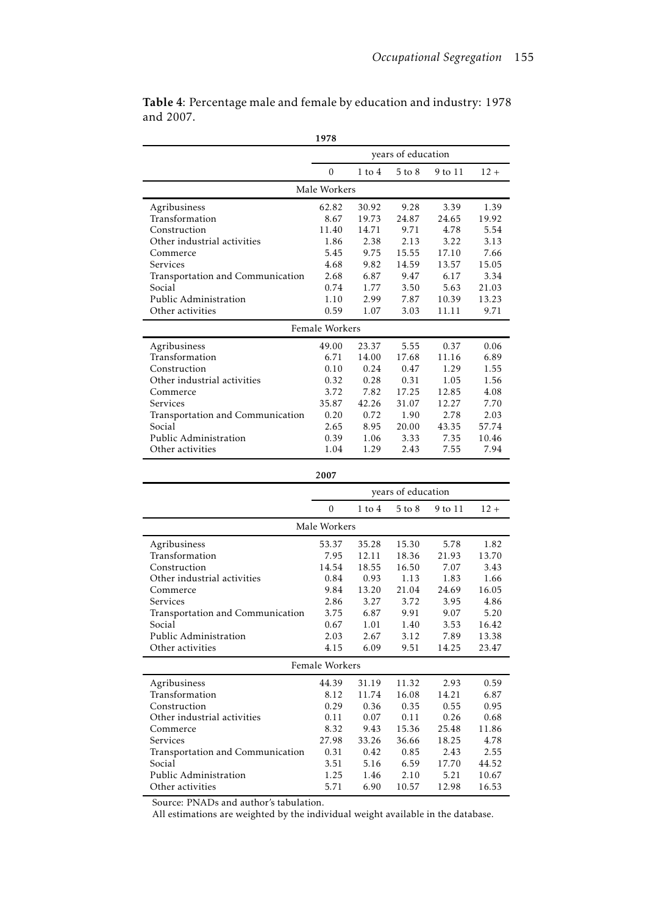| 1978                                       |                |               |                    |                |                |
|--------------------------------------------|----------------|---------------|--------------------|----------------|----------------|
|                                            |                |               | years of education |                |                |
|                                            | $\mathbf{0}$   | $1$ to $4$    | 5 to 8             | 9 to 11        | $12 +$         |
|                                            | Male Workers   |               |                    |                |                |
| Agribusiness                               | 62.82          | 30.92         | 9.28               | 3.39           | 1.39           |
| Transformation                             | 8.67           | 19.73         | 24.87              | 24.65          | 19.92          |
| Construction                               | 11.40          | 14.71         | 9.71               | 4.78           | 5.54           |
| Other industrial activities                | 1.86           | 2.38          | 2.13               | 3.22           | 3.13           |
| Commerce                                   | 5.45           | 9.75          | 15.55              | 17.10          | 7.66           |
| Services                                   | 4.68           | 9.82          | 14.59              | 13.57          | 15.05          |
| Transportation and Communication           | 2.68           | 6.87          | 9.47               | 6.17           | 3.34           |
| Social                                     | 0.74           | 1.77          | 3.50               | 5.63           | 21.03          |
| Public Administration                      | 1.10           | 2.99          | 7.87               | 10.39          | 13.23          |
| Other activities                           | 0.59           | 1.07          | 3.03               | 11.11          | 9.71           |
|                                            | Female Workers |               |                    |                |                |
| Agribusiness                               | 49.00          | 23.37         | 5.55               | 0.37           | 0.06           |
| Transformation                             | 6.71           | 14.00         | 17.68              | 11.16          | 6.89           |
| Construction                               | 0.10           | 0.24          | 0.47               | 1.29           | 1.55           |
| Other industrial activities                | 0.32           | 0.28          | 0.31               | 1.05           | 1.56           |
| Commerce<br>Services                       | 3.72<br>35.87  | 7.82<br>42.26 | 17.25<br>31.07     | 12.85<br>12.27 | 4.08<br>7.70   |
|                                            | 0.20           | 0.72          | 1.90               | 2.78           | 2.03           |
| Transportation and Communication<br>Social | 2.65           | 8.95          | 20.00              | 43.35          | 57.74          |
| Public Administration                      | 0.39           | 1.06          | 3.33               | 7.35           | 10.46          |
| Other activities                           | 1.04           | 1.29          | 2.43               | 7.55           | 7.94           |
|                                            |                |               |                    |                |                |
|                                            |                |               |                    |                |                |
|                                            | 2007           |               |                    |                |                |
|                                            |                |               | years of education |                |                |
|                                            | $\Omega$       | $1$ to $4$    | 5 to 8             | 9 to 11        | $12 +$         |
|                                            | Male Workers   |               |                    |                |                |
| Agribusiness                               | 53.37          | 35.28         | 15.30              | 5.78           | 1.82           |
| Transformation                             | 7.95           | 12.11         | 18.36              | 21.93          | 13.70          |
| Construction                               | 14.54          | 18.55         | 16.50              | 7.07           | 3.43           |
| Other industrial activities                | 0.84           | 0.93          | 1.13               | 1.83           | 1.66           |
| Commerce                                   | 9.84           | 13.20         | 21.04              | 24.69          | 16.05          |
| Services                                   | 2.86           | 3.27          | 3.72               | 3.95           | 4.86           |
| Transportation and Communication           | 3.75           | 6.87          | 9.91               | 9.07           | 5.20           |
| Social                                     | 0.67           | 1.01          | 1.40               | 3.53           | 16.42          |
| Public Administration                      | 2.03           | 2.67          | 3.12               | 7.89           | 13.38          |
| Other activities                           | 4.15           | 6.09          | 9.51               | 14.25          | 23.47          |
|                                            | Female Workers |               |                    |                |                |
| Agribusiness                               | 44.39          | 31.19         | 11.32              | 2.93           | 0.59           |
| Transformation                             | 8.12           | 11.74         | 16.08              | 14.21          | 6.87           |
| Construction                               | 0.29           | 0.36          | 0.35               | 0.55           | 0.95           |
| Other industrial activities                | 0.11           | 0.07          | 0.11               | 0.26           | 0.68           |
| Commerce                                   | 8.32           | 9.43          | 15.36              | 25.48          | 11.86          |
| Services                                   | 27.98          | 33.26         | 36.66              | 18.25          | 4.78           |
| Transportation and Communication           | 0.31           | 0.42          | 0.85               | 2.43           | 2.55           |
| Social<br>Public Administration            | 3.51<br>1.25   | 5.16<br>1.46  | 6.59<br>2.10       | 17.70<br>5.21  | 44.52<br>10.67 |

Table 4: Percentage male and female by education and industry: 1978 and 2007.

Source: PNADs and author's tabulation.

All estimations are weighted by the individual weight available in the database.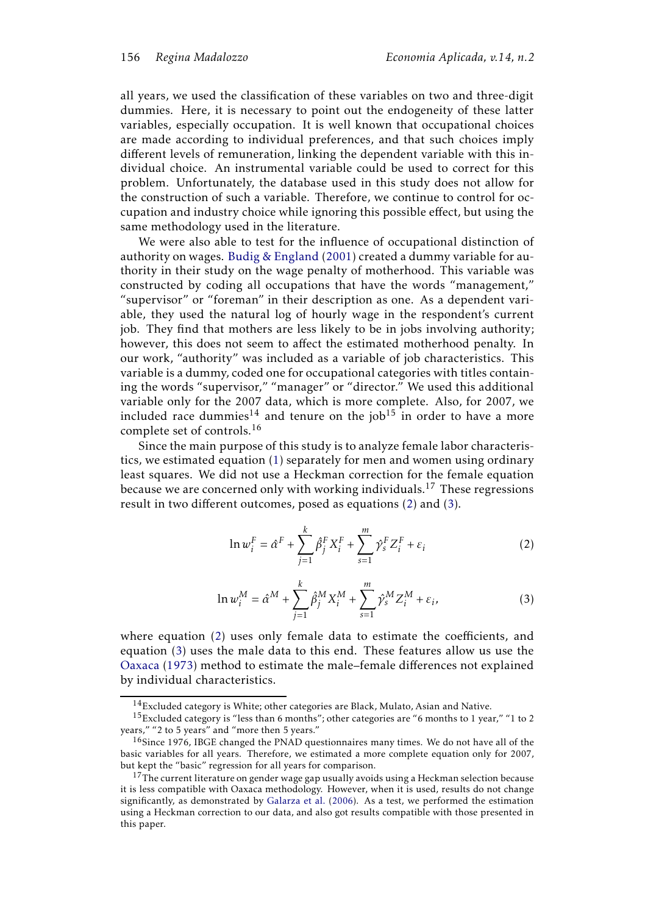all years, we used the classification of these variables on two and three-digit dummies. Here, it is necessary to point out the endogeneity of these latter variables, especially occupation. It is well known that occupational choices are made according to individual preferences, and that such choices imply different levels of remuneration, linking the dependent variable with this individual choice. An instrumental variable could be used to correct for this problem. Unfortunately, the database used in this study does not allow for the construction of such a variable. Therefore, we continue to control for occupation and industry choice while ignoring this possible effect, but using the same methodology used in the literature.

We were also able to test for the influence of occupational distinction of authority on wages. Budig & England (2001) created a dummy variable for authority in their study on the wage penalty of motherhood. This variable was constructed by coding all occupations that have the words "management," "supervisor" or "foreman" in their description as one. As a dependent variable, they used the natural log of hourly wage in the respondent's current job. They find that mothers are less likely to be in jobs involving authority; however, this does not seem to affect the estimated motherhood penalty. In our work, "authority" was included as a variable of job characteristics. This variable is a dummy, coded one for occupational categories with titles containing the words "supervisor," "manager" or "director." We used this additional variable only for the 2007 data, which is more complete. Also, for 2007, we included race dummies<sup>14</sup> and tenure on the job<sup>15</sup> in order to have a more complete set of controls.<sup>16</sup>

Since the main purpose of this study is to analyze female labor characteristics, we estimated equation (1) separately for men and women using ordinary least squares. We did not use a Heckman correction for the female equation because we are concerned only with working individuals.<sup>17</sup> These regressions result in two different outcomes, posed as equations (2) and (3).

$$
\ln w_i^F = \hat{\alpha}^F + \sum_{j=1}^k \hat{\beta}_j^F X_i^F + \sum_{s=1}^m \hat{\gamma}_s^F Z_i^F + \varepsilon_i
$$
 (2)

$$
\ln w_i^M = \hat{\alpha}^M + \sum_{j=1}^k \hat{\beta}_j^M X_i^M + \sum_{s=1}^m \hat{\gamma}_s^M Z_i^M + \varepsilon_i,
$$
 (3)

where equation (2) uses only female data to estimate the coefficients, and equation (3) uses the male data to this end. These features allow us use the Oaxaca (1973) method to estimate the male–female differences not explained by individual characteristics.

 $14$ Excluded category is White; other categories are Black, Mulato, Asian and Native.

<sup>15</sup>Excluded category is "less than 6 months"; other categories are "6 months to 1 year," "1 to 2 years," "2 to 5 years" and "more then 5 years."

<sup>&</sup>lt;sup>16</sup>Since 1976, IBGE changed the PNAD questionnaires many times. We do not have all of the basic variables for all years. Therefore, we estimated a more complete equation only for 2007, but kept the "basic" regression for all years for comparison.

<sup>&</sup>lt;sup>17</sup>The current literature on gender wage gap usually avoids using a Heckman selection because it is less compatible with Oaxaca methodology. However, when it is used, results do not change significantly, as demonstrated by Galarza et al. (2006). As a test, we performed the estimation using a Heckman correction to our data, and also got results compatible with those presented in this paper.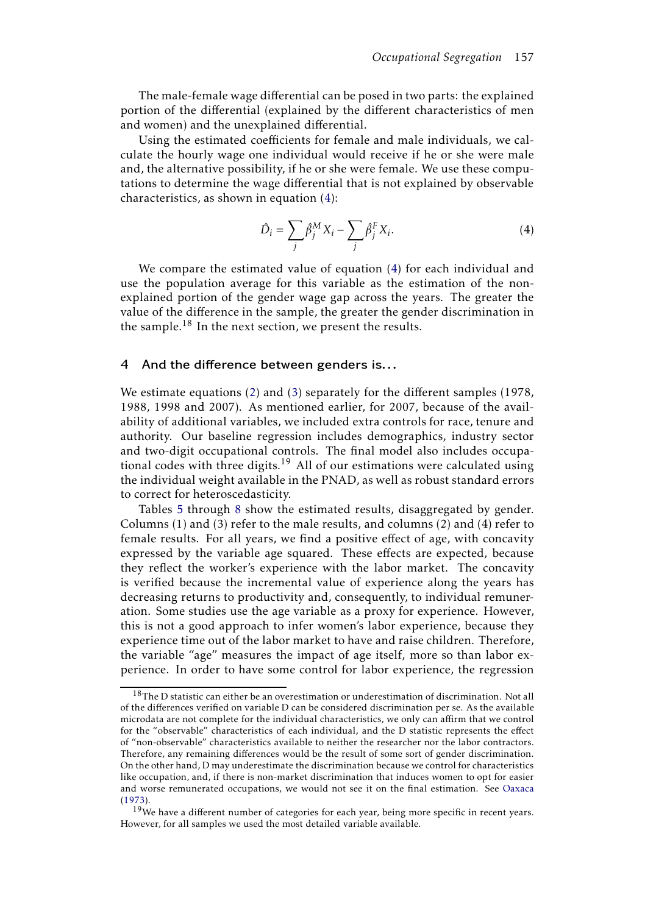The male-female wage differential can be posed in two parts: the explained portion of the differential (explained by the different characteristics of men and women) and the unexplained differential.

Using the estimated coefficients for female and male individuals, we calculate the hourly wage one individual would receive if he or she were male and, the alternative possibility, if he or she were female. We use these computations to determine the wage differential that is not explained by observable characteristics, as shown in equation (4):

$$
\hat{D}_i = \sum_j \hat{\beta}_j^M X_i - \sum_j \hat{\beta}_j^F X_i.
$$
\n(4)

We compare the estimated value of equation (4) for each individual and use the population average for this variable as the estimation of the nonexplained portion of the gender wage gap across the years. The greater the value of the difference in the sample, the greater the gender discrimination in the sample.<sup>18</sup> In the next section, we present the results.

## 4 And the difference between genders is...

We estimate equations (2) and (3) separately for the different samples (1978, 1988, 1998 and 2007). As mentioned earlier, for 2007, because of the availability of additional variables, we included extra controls for race, tenure and authority. Our baseline regression includes demographics, industry sector and two-digit occupational controls. The final model also includes occupational codes with three digits.<sup>19</sup> All of our estimations were calculated using the individual weight available in the PNAD, as well as robust standard errors to correct for heteroscedasticity.

Tables 5 through 8 show the estimated results, disaggregated by gender. Columns (1) and (3) refer to the male results, and columns (2) and (4) refer to female results. For all years, we find a positive effect of age, with concavity expressed by the variable age squared. These effects are expected, because they reflect the worker's experience with the labor market. The concavity is verified because the incremental value of experience along the years has decreasing returns to productivity and, consequently, to individual remuneration. Some studies use the age variable as a proxy for experience. However, this is not a good approach to infer women's labor experience, because they experience time out of the labor market to have and raise children. Therefore, the variable "age" measures the impact of age itself, more so than labor experience. In order to have some control for labor experience, the regression

 $18$ The D statistic can either be an overestimation or underestimation of discrimination. Not all of the differences verified on variable D can be considered discrimination per se. As the available microdata are not complete for the individual characteristics, we only can affirm that we control for the "observable" characteristics of each individual, and the D statistic represents the effect of "non-observable" characteristics available to neither the researcher nor the labor contractors. Therefore, any remaining differences would be the result of some sort of gender discrimination. On the other hand, D may underestimate the discrimination because we control for characteristics like occupation, and, if there is non-market discrimination that induces women to opt for easier and worse remunerated occupations, we would not see it on the final estimation. See Oaxaca (1973).

 $19$ We have a different number of categories for each year, being more specific in recent years. However, for all samples we used the most detailed variable available.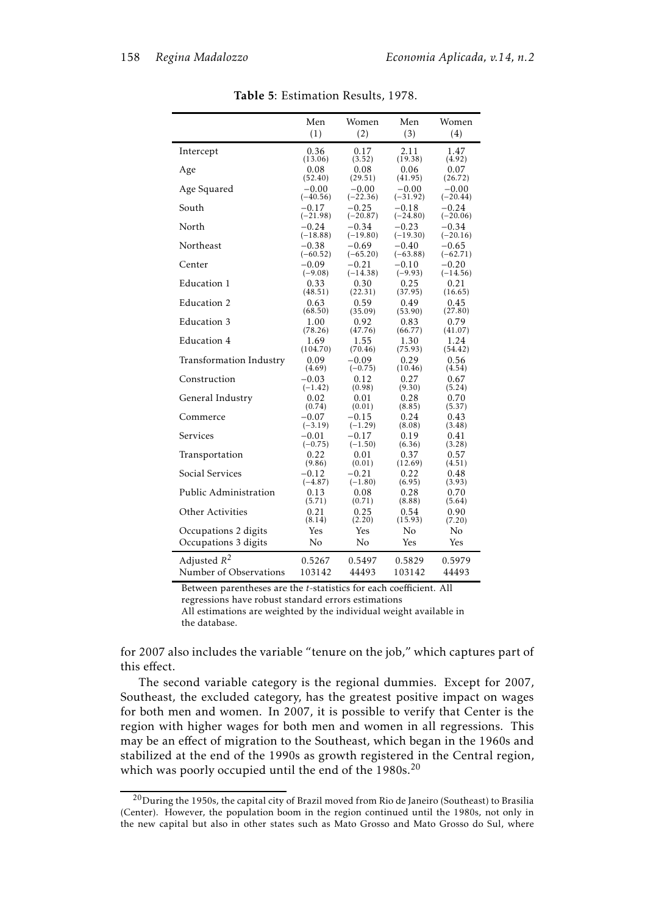|                         | Men        | Women      | Men        | Women      |
|-------------------------|------------|------------|------------|------------|
|                         | (1)        | (2)        | (3)        | (4)        |
| Intercept               | 0.36       | 0.17       | 2.11       | 1.47       |
|                         | (13.06)    | (3.52)     | (19.38)    | (4.92)     |
| Age                     | 0.08       | 0.08       | 0.06       | 0.07       |
|                         | (52.40)    | (29.51)    | (41.95)    | (26.72)    |
| Age Squared             | $-0.00$    | $-0.00$    | $-0.00$    | $-0.00$    |
|                         | $(-40.56)$ | $(-22.36)$ | $(-31.92)$ | $(-20.44)$ |
| South                   | $-0.17$    | $-0.25$    | $-0.18$    | $-0.24$    |
|                         | $(-21.98)$ | $(-20.87)$ | $(-24.80)$ | $(-20.06)$ |
| North                   | $-0.24$    | $-0.34$    | $-0.23$    | $-0.34$    |
|                         | $(-18.88)$ | $(-19.80)$ | $(-19.30)$ | $(-20.16)$ |
| Northeast               | $-0.38$    | $-0.69$    | $-0.40$    | $-0.65$    |
|                         | $(-60.52)$ | $(-65.20)$ | $(-63.88)$ | $(-62.71)$ |
| Center                  | $-0.09$    | $-0.21$    | $-0.10$    | $-0.20$    |
|                         | $(-9.08)$  | $(-14.38)$ | $(-9.93)$  | $(-14.56)$ |
| Education 1             | 0.33       | 0.30       | 0.25       | 0.21       |
|                         | (48.51)    | (22.31)    | (37.95)    | (16.65)    |
| Education 2             | 0.63       | 0.59       | 0.49       | 0.45       |
| Education 3             | (68.50)    | (35.09)    | (53.90)    | (27.80)    |
|                         | 1.00       | 0.92       | 0.83       | 0.79       |
| Education 4             | (78.26)    | (47.76)    | (66.77)    | (41.07)    |
|                         | 1.69       | 1.55       | 1.30       | 1.24       |
|                         | (104.70)   | (70.46)    | (75.93)    | (54.42)    |
| Transformation Industry | 0.09       | $-0.09$    | 0.29       | 0.56       |
|                         | (4.69)     | $(-0.75)$  | (10.46)    | (4.54)     |
| Construction            | $-0.03$    | 0.12       | 0.27       | 0.67       |
|                         | $(-1.42)$  | (0.98)     | (9.30)     | (5.24)     |
| General Industry        | 0.02       | 0.01       | 0.28       | 0.70       |
|                         | (0.74)     | (0.01)     | (8.85)     | (5.37)     |
| Commerce                | $-0.07$    | $-0.15$    | 0.24       | 0.43       |
|                         | $(-3.19)$  | $(-1.29)$  | (8.08)     | (3.48)     |
| Services                | $-0.01$    | $-0.17$    | 0.19       | 0.41       |
|                         | $(-0.75)$  | $(-1.50)$  | (6.36)     | (3.28)     |
| Transportation          | 0.22       | 0.01       | 0.37       | 0.57       |
|                         | (9.86)     | (0.01)     | (12.69)    | (4.51)     |
| Social Services         | $-0.12$    | $-0.21$    | 0.22       | 0.48       |
|                         | $(-4.87)$  | $(-1.80)$  | (6.95)     | (3.93)     |
| Public Administration   | 0.13       | 0.08       | 0.28       | 0.70       |
|                         | (5.71)     | (0.71)     | (8.88)     | (5.64)     |
| Other Activities        | 0.21       | 0.25       | 0.54       | 0.90       |
|                         | (8.14)     | (2.20)     | (15.93)    | (7.20)     |
| Occupations 2 digits    | Yes        | Yes        | No         | No         |
| Occupations 3 digits    | No         | No         | Yes        | Yes        |
| Adjusted $R^2$          | 0.5267     | 0.5497     | 0.5829     | 0.5979     |
| Number of Observations  | 103142     | 44493      | 103142     | 44493      |

Table 5: Estimation Results, 1978.

Between parentheses are the *t*-statistics for each coefficient. All regressions have robust standard errors estimations All estimations are weighted by the individual weight available in

the database.

for 2007 also includes the variable "tenure on the job," which captures part of this effect.

The second variable category is the regional dummies. Except for 2007, Southeast, the excluded category, has the greatest positive impact on wages for both men and women. In 2007, it is possible to verify that Center is the region with higher wages for both men and women in all regressions. This may be an effect of migration to the Southeast, which began in the 1960s and stabilized at the end of the 1990s as growth registered in the Central region, which was poorly occupied until the end of the 1980s.<sup>20</sup>

 $^{20}$ During the 1950s, the capital city of Brazil moved from Rio de Janeiro (Southeast) to Brasilia (Center). However, the population boom in the region continued until the 1980s, not only in the new capital but also in other states such as Mato Grosso and Mato Grosso do Sul, where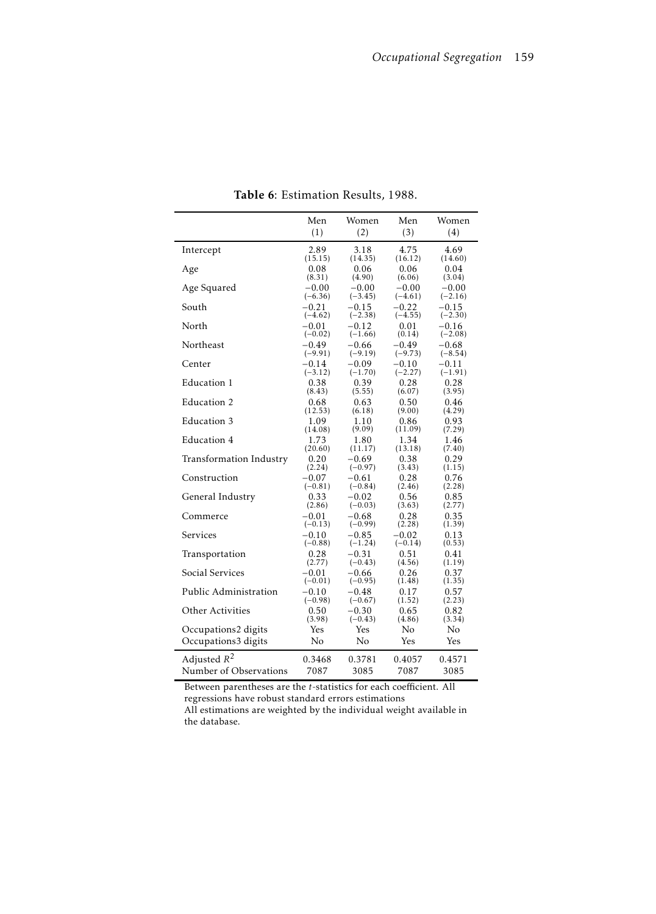|                         | Men       | Women     | Men       | Women      |
|-------------------------|-----------|-----------|-----------|------------|
|                         | (1)       | (2)       | (3)       | (4)        |
| Intercept               | 2.89      | 3.18      | 4.75      | 4.69       |
| Age                     | (15.15)   | (14.35)   | (16.12)   | (14.60)    |
|                         | 0.08      | 0.06      | 0.06      | 0.04       |
| Age Squared             | (8.31)    | (4.90)    | (6.06)    | (3.04)     |
|                         | $-0.00$   | $-0.00$   | $-0.00$   | $-0.00$    |
| South                   | $(-6.36)$ | $(-3.45)$ | $(-4.61)$ | $(-2.16)$  |
|                         | $-0.21$   | $-0.15$   | $-0.22$   | $-0.15$    |
| North                   | $(-4.62)$ | $(-2.38)$ | $(-4.55)$ | $(-2.30)$  |
|                         | $-0.01$   | $-0.12$   | 0.01      | $-0.16$    |
| Northeast               | $(-0.02)$ | $(-1.66)$ | (0.14)    | $(-2.08)$  |
|                         | $-0.49$   | $-0.66$   | $-0.49$   | $-0.68$    |
| Center                  | $(-9.91)$ | $(-9.19)$ | $(-9.73)$ | $(-8.54)$  |
|                         | $-0.14$   | $-0.09$   | $-0.10$   | $-0.11$    |
| Education 1             | $(-3.12)$ | $(-1.70)$ | $(-2.27)$ | $(-1.91)$  |
|                         | 0.38      | 0.39      | 0.28      | 0.28       |
| Education 2             | (8.43)    | (5.55)    | (6.07)    | (3.95)     |
|                         | 0.68      | 0.63      | 0.50      | 0.46       |
| Education 3             | (12.53)   | (6.18)    | (9.00)    | (4.29)     |
|                         | 1.09      | 1.10      | 0.86      | 0.93       |
| Education 4             | (14.08)   | (9.09)    | (11.09)   | (7.29)     |
|                         | 1.73      | 1.80      | 1.34      | 1.46       |
|                         | (20.60)   | (11.17)   | (13.18)   | (7.40)     |
| Transformation Industry | 0.20      | -0.69     | 0.38      | 0.29       |
|                         | (2.24)    | $(-0.97)$ | (3.43)    | (1.15)     |
| Construction            | $-0.07$   | $-0.61$   | 0.28      | 0.76       |
|                         | $(-0.81)$ | $(-0.84)$ | (2.46)    | (2.28)     |
| General Industry        | 0.33      | $-0.02$   | 0.56      | 0.85       |
|                         | (2.86)    | $(-0.03)$ | (3.63)    | (2.77)     |
| Commerce                | $-0.01$   | $-0.68$   | 0.28      | 0.35       |
|                         | $(-0.13)$ | $(-0.99)$ | (2.28)    | (1.39)     |
| Services                | $-0.10$   | $-0.85$   | $-0.02$   | 0.13       |
|                         | $(-0.88)$ | $(-1.24)$ | $(-0.14)$ | (0.53)     |
| Transportation          | 0.28      | $-0.31$   | 0.51      | 0.41       |
| Social Services         | (2.77)    | $(-0.43)$ | (4.56)    | (1.19)     |
|                         | $-0.01$   | -0.66     | 0.26      | 0.37       |
| Public Administration   | $(-0.01)$ | $(-0.95)$ | (1.48)    | (1.35)     |
|                         | $-0.10$   | $-0.48$   | 0.17      | 0.57       |
| Other Activities        | $(-0.98)$ | $(-0.67)$ | (1.52)    | (2.23)     |
|                         | 0.50      | $-0.30$   | 0.65      | 0.82       |
|                         | (3.98)    | $(-0.43)$ | (4.86)    | (3.34)     |
| Occupations2 digits     | Yes       | Yes       | No        | No         |
| Occupations3 digits     | No        | No        | Yes       | <b>Yes</b> |
| Adjusted $R^2$          | 0.3468    | 0.3781    | 0.4057    | 0.4571     |
| Number of Observations  | 7087      | 3085      | 7087      | 3085       |
|                         |           |           |           |            |

Table 6: Estimation Results, 1988.

Between parentheses are the *t*-statistics for each coefficient. All regressions have robust standard errors estimations All estimations are weighted by the individual weight available in

the database.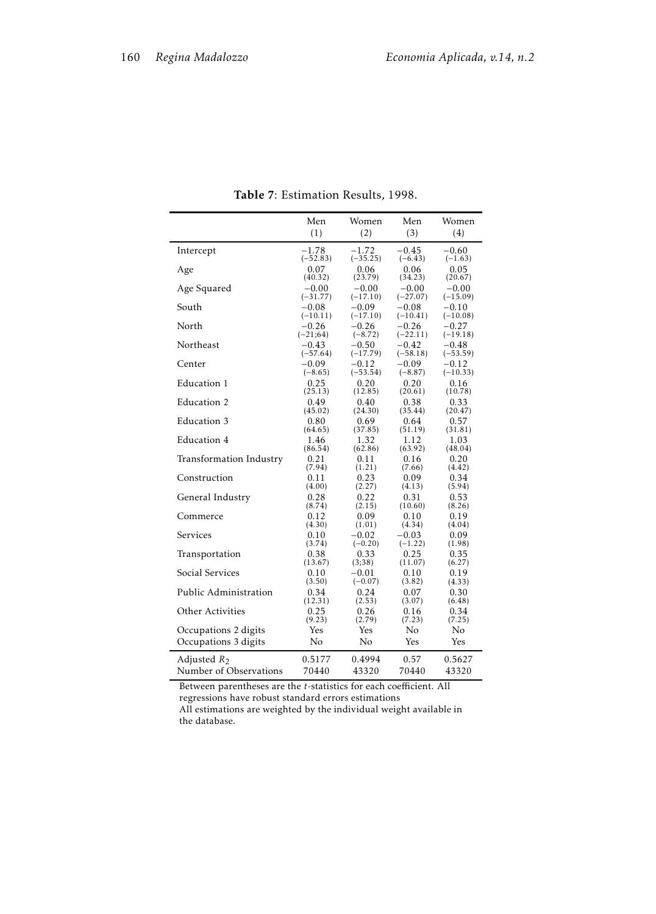|                         | Men        | Women          | Men        | Women      |
|-------------------------|------------|----------------|------------|------------|
|                         | (1)        | (2)            | (3)        | (4)        |
| Intercept               | $-1.78$    | $-1.72$        | $-0.45$    | $-0.60$    |
| Age                     | $(-52.83)$ | $(-35.25)$     | $(-6.43)$  | $(-1.63)$  |
|                         | 0.07       | 0.06           | 0.06       | 0.05       |
| Age Squared             | (40.32)    | (23.79)        | (34.23)    | (20.67)    |
|                         | $-0.00$    | $-0.00$        | $-0.00$    | $-0.00$    |
| South                   | $(-31.77)$ | $(-17.10)$     | $(-27.07)$ | $(-15.09)$ |
|                         | $-0.08$    | $-0.09$        | $-0.08$    | $-0.10$    |
| North                   | $(-10.11)$ | $(-17.10)$     | $(-10.41)$ | $(-10.08)$ |
|                         | $-0.26$    | $-0.26$        | $-0.26$    | $-0.27$    |
| Northeast               | $(-21,64)$ | $(-8.72)$      | $(-22.11)$ | $(-19.18)$ |
|                         | $-0.43$    | $-0.50$        | $-0.42$    | $-0.48$    |
|                         | $(-57.64)$ | $(-17.79)$     | $(-58.18)$ | $(-53.59)$ |
| Center                  | $-0.09$    | $-0.12$        | $-0.09$    | $-0.12$    |
|                         | $(-8.65)$  | $(-53.54)$     | $(-8.87)$  | $(-10.33)$ |
| Education 1             | 0.25       | 0.20           | 0.20       | 0.16       |
|                         | (25.13)    | (12.85)        | (20.61)    | (10.78)    |
| Education 2             | 0.49       | 0.40           | 0.38       | 0.33       |
|                         | (45.02)    | (24.30)        | (35.44)    | (20.47)    |
| Education 3             | 0.80       | 0.69           | 0.64       | 0.57       |
| Education 4             | (64.65)    | (37.85)        | (51.19)    | (31.81)    |
|                         | 1.46       | 1.32           | 1.12       | 1.03       |
| Transformation Industry | (86.54)    | (62.86)        | (63.92)    | (48.04)    |
|                         | 0.21       | 0.11           | 0.16       | 0.20       |
| Construction            | (7.94)     | (1.21)         | (7.66)     | (4.42)     |
|                         | 0.11       | 0.23           | 0.09       | 0.34       |
|                         | (4.00)     | (2.27)         | (4.13)     | (5.94)     |
| General Industry        | 0.28       | 0.22           | 0.31       | 0.53       |
|                         | (8.74)     | (2.15)         | (10.60)    | (8.26)     |
| Commerce                | 0.12       | 0.09           | 0.10       | 0.19       |
|                         | (4.30)     | (1.01)         | (4.34)     | (4.04)     |
| Services                | 0.10       | $-0.02$        | $-0.03$    | 0.09       |
|                         | (3.74)     | $(-0.20)$      | $(-1.22)$  | (1.98)     |
| Transportation          | 0.38       | 0.33           | 0.25       | 0.35       |
| Social Services         | (13.67)    | (3,38)         | (11.07)    | (6.27)     |
|                         | 0.10       | $-0.01$        | 0.10       | 0.19       |
| Public Administration   | (3.50)     | $(-0.07)$      | (3.82)     | (4.33)     |
|                         | 0.34       | 0.24           | 0.07       | 0.30       |
| Other Activities        | (12.31)    | (2.53)         | (3.07)     | (6.48)     |
|                         | 0.25       | 0.26           | 0.16       | 0.34       |
|                         | (9.23)     | (2.79)         | (7.23)     | (7.25)     |
| Occupations 2 digits    | Yes        | Yes            | No.        | No.        |
| Occupations 3 digits    | No         | N <sub>o</sub> | Yes        | Yes        |
| Adjusted $R_2$          | 0.5177     | 0.4994         | 0.57       | 0.5627     |
| Number of Observations  | 70440      | 43320          | 70440      | 43320      |

Table 7: Estimation Results, 1998.

Between parentheses are the *t*-statistics for each coefficient. All regressions have robust standard errors estimations All estimations are weighted by the individual weight available in

the database.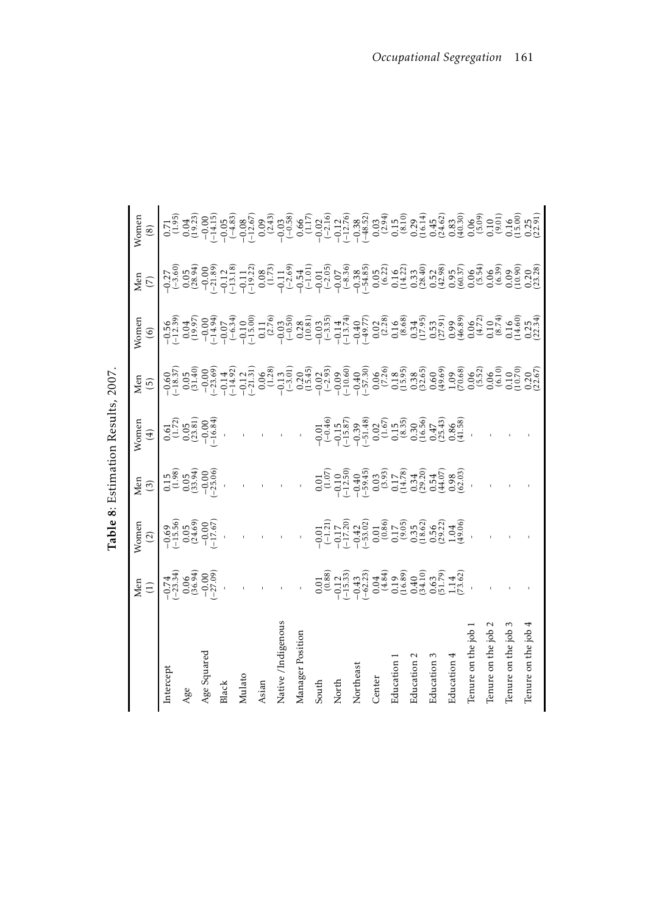|                    | Men<br>$\widehat{\Xi}$                                                                                                                                                                                                                                                                                                                        | Vomer<br>$\widetilde{c}$                                                                                                                                                                                                       | Men $(3)$                                                                                                                                                                                                                                                                                                                                       | Nomer<br>$(\pm)$                                                                                                                                                                                                               | Men<br>$\left( \overline{5}\right)$ | Nomen<br>$\circledcirc$                                                                                                                                                                                                                                                                                                                                                                                                                    | Men<br>$(\bar{\mathbf{C}})$                                                                                                                                                                                                                                                                                                                                                  | Nomen<br>$\circledast$                                                                                                                                                                                                                                                                                                             |
|--------------------|-----------------------------------------------------------------------------------------------------------------------------------------------------------------------------------------------------------------------------------------------------------------------------------------------------------------------------------------------|--------------------------------------------------------------------------------------------------------------------------------------------------------------------------------------------------------------------------------|-------------------------------------------------------------------------------------------------------------------------------------------------------------------------------------------------------------------------------------------------------------------------------------------------------------------------------------------------|--------------------------------------------------------------------------------------------------------------------------------------------------------------------------------------------------------------------------------|-------------------------------------|--------------------------------------------------------------------------------------------------------------------------------------------------------------------------------------------------------------------------------------------------------------------------------------------------------------------------------------------------------------------------------------------------------------------------------------------|------------------------------------------------------------------------------------------------------------------------------------------------------------------------------------------------------------------------------------------------------------------------------------------------------------------------------------------------------------------------------|------------------------------------------------------------------------------------------------------------------------------------------------------------------------------------------------------------------------------------------------------------------------------------------------------------------------------------|
| ntercept           |                                                                                                                                                                                                                                                                                                                                               |                                                                                                                                                                                                                                |                                                                                                                                                                                                                                                                                                                                                 | $0.61$<br>$(1.72)$<br>$0.05$<br>$(23.81)$<br>$-0.00$<br>$-16.84$                                                                                                                                                               |                                     |                                                                                                                                                                                                                                                                                                                                                                                                                                            |                                                                                                                                                                                                                                                                                                                                                                              | $\begin{bmatrix} 1, & 1 \\ 1, & 1 \\ 1, & 1 \\ 1, & 1 \\ 1, & 1 \\ 1, & 1 \\ 1, & 1 \\ 1, & 1 \\ 1, & 1 \\ 1, & 1 \\ 1, & 1 \\ 1, & 1 \\ 1, & 1 \\ 1, & 1 \\ 1, & 1 \\ 1, & 1 \\ 1, & 1 \\ 1, & 1 \\ 1, & 1 \\ 1, & 1 \\ 1, & 1 \\ 1, & 1 \\ 1, & 1 \\ 1, & 1 \\ 1, & 1 \\ 1, & 1 \\ 1, & 1 \\ 1, & 1 \\ 1, & 1 \\ 1, & 1 \\ 1, &$ |
| Age                |                                                                                                                                                                                                                                                                                                                                               |                                                                                                                                                                                                                                |                                                                                                                                                                                                                                                                                                                                                 |                                                                                                                                                                                                                                |                                     |                                                                                                                                                                                                                                                                                                                                                                                                                                            |                                                                                                                                                                                                                                                                                                                                                                              |                                                                                                                                                                                                                                                                                                                                    |
| Age Squared        | $-0.74$<br>$-23.34$<br>$0.06$<br>$-0.06$<br>$-27.09$                                                                                                                                                                                                                                                                                          | $-0.69$<br>$-15.56$<br>$0.05$<br>$-17.67$<br>$-17.67$                                                                                                                                                                          | $\begin{array}{c} 0.15 \\ (1.98) \\ 0.05 \\ (-0.00) \\ -25.06 \end{array}$                                                                                                                                                                                                                                                                      |                                                                                                                                                                                                                                |                                     |                                                                                                                                                                                                                                                                                                                                                                                                                                            |                                                                                                                                                                                                                                                                                                                                                                              |                                                                                                                                                                                                                                                                                                                                    |
| Black              |                                                                                                                                                                                                                                                                                                                                               |                                                                                                                                                                                                                                |                                                                                                                                                                                                                                                                                                                                                 |                                                                                                                                                                                                                                |                                     |                                                                                                                                                                                                                                                                                                                                                                                                                                            |                                                                                                                                                                                                                                                                                                                                                                              |                                                                                                                                                                                                                                                                                                                                    |
| Mulato             |                                                                                                                                                                                                                                                                                                                                               |                                                                                                                                                                                                                                |                                                                                                                                                                                                                                                                                                                                                 |                                                                                                                                                                                                                                |                                     |                                                                                                                                                                                                                                                                                                                                                                                                                                            |                                                                                                                                                                                                                                                                                                                                                                              |                                                                                                                                                                                                                                                                                                                                    |
| Asian              |                                                                                                                                                                                                                                                                                                                                               |                                                                                                                                                                                                                                |                                                                                                                                                                                                                                                                                                                                                 |                                                                                                                                                                                                                                |                                     | $\begin{array}{l} \left( \begin{array}{l} 0.93 \\ -0.12 \\ 0.02 \end{array} \right) \left( \begin{array}{l} 0.93 \\ -0.12 \\ -0.02 \end{array} \right) \left( \begin{array}{l} 0.93 \\ -0.02 \\ -0.02 \end{array} \right) \left( \begin{array}{l} 0.93 \\ -0.02 \\ -0.02 \end{array} \right) \left( \begin{array}{l} 0.93 \\ -0.02 \\ -0.02 \end{array} \right) \left( \begin{array}{l} 0.93 \\ -0.02 \\ -0.02 \end{array} \right) \left($ | $\begin{array}{l} \gamma_{1,0}^{(2)}(0)\\ \gamma_{2,0}^{(3)}(0)\\ \gamma_{3,0}^{(4)}(0)\\ \gamma_{4,0}^{(5)}(0)\\ \gamma_{5,0}^{(6)}(0)\\ \gamma_{6,0}^{(6)}(0)\\ \gamma_{7,0}^{(6)}(0)\\ \gamma_{8,0}^{(6)}(0)\\ \gamma_{9,0}^{(6)}(0)\\ \gamma_{10}^{(6)}(0)\\ \gamma_{11}^{(6)}(0)\\ \gamma_{12}^{(6)}(0)\\ \gamma_{13}^{(6)}(0)\\ \gamma_{14}^{(6)}(0)\\ \gamma_{15}^{($ |                                                                                                                                                                                                                                                                                                                                    |
| Native /Indigenous |                                                                                                                                                                                                                                                                                                                                               |                                                                                                                                                                                                                                |                                                                                                                                                                                                                                                                                                                                                 |                                                                                                                                                                                                                                |                                     |                                                                                                                                                                                                                                                                                                                                                                                                                                            |                                                                                                                                                                                                                                                                                                                                                                              |                                                                                                                                                                                                                                                                                                                                    |
| Manager Position   |                                                                                                                                                                                                                                                                                                                                               |                                                                                                                                                                                                                                |                                                                                                                                                                                                                                                                                                                                                 |                                                                                                                                                                                                                                |                                     |                                                                                                                                                                                                                                                                                                                                                                                                                                            |                                                                                                                                                                                                                                                                                                                                                                              |                                                                                                                                                                                                                                                                                                                                    |
| South              |                                                                                                                                                                                                                                                                                                                                               |                                                                                                                                                                                                                                |                                                                                                                                                                                                                                                                                                                                                 |                                                                                                                                                                                                                                |                                     |                                                                                                                                                                                                                                                                                                                                                                                                                                            |                                                                                                                                                                                                                                                                                                                                                                              |                                                                                                                                                                                                                                                                                                                                    |
| North              |                                                                                                                                                                                                                                                                                                                                               |                                                                                                                                                                                                                                |                                                                                                                                                                                                                                                                                                                                                 |                                                                                                                                                                                                                                |                                     |                                                                                                                                                                                                                                                                                                                                                                                                                                            |                                                                                                                                                                                                                                                                                                                                                                              |                                                                                                                                                                                                                                                                                                                                    |
| Northeast          | $\begin{array}{l} 0.01 \\ 0.08 \\ -1.1 \\ 0.04 \\ -1.1 \\ 0.04 \\ -1.04 \\ -1.04 \\ -1.04 \\ -1.04 \\ -1.04 \\ -1.04 \\ -1.04 \\ -1.04 \\ -1.04 \\ -1.04 \\ -1.04 \\ -1.04 \\ -1.04 \\ -1.04 \\ -1.04 \\ -1.04 \\ -1.04 \\ -1.04 \\ -1.04 \\ -1.04 \\ -1.04 \\ -1.04 \\ -1.04 \\ -1.04 \\ -1.04 \\ -1.04 \\ -1.04 \\ -1.04 \\ -1.04 \\ -1.04$ | $-0.17, 2.3, 0.01, 0.03, 0.05, 0.04, 0.05, 0.05, 0.04, 0.05, 0.05, 0.05, 0.05, 0.04, 0.05, 0.05, 0.06, 0.07, 0.04, 0.06, 0.07, 0.07, 0.08, 0.09, 0.09, 0.04, 0.06, 0.07, 0.08, 0.09, 0.09, 0.09, 0.09, 0.09, 0.09, 0.09, 0.09$ | $\begin{array}{l} 0.01 \\ 0.01 \\ -0.11 \\ -0.01 \\ -0.01 \\ -0.01 \\ -0.01 \\ -0.01 \\ -0.01 \\ -0.01 \\ -0.01 \\ -0.01 \\ -0.01 \\ -0.01 \\ -0.01 \\ -0.01 \\ -0.01 \\ -0.01 \\ -0.01 \\ -0.01 \\ -0.01 \\ -0.01 \\ -0.01 \\ -0.01 \\ -0.01 \\ -0.01 \\ -0.01 \\ -0.01 \\ -0.01 \\ -0.01 \\ -0.01 \\ -0.01 \\ -0.01 \\ -0.01 \\ -0.01 \\ -0.$ | $-0.0146$ $-0.038$ $-0.048$ $-0.048$ $-0.048$ $-0.048$ $-0.048$ $-0.048$ $-0.048$ $-0.048$ $-0.048$ $-0.048$ $-0.048$ $-0.048$ $-0.048$ $-0.048$ $-0.048$ $-0.048$ $-0.048$ $-0.048$ $-0.048$ $-0.048$ $-0.048$ $-0.048$ $-0.$ |                                     |                                                                                                                                                                                                                                                                                                                                                                                                                                            |                                                                                                                                                                                                                                                                                                                                                                              |                                                                                                                                                                                                                                                                                                                                    |
| Center             |                                                                                                                                                                                                                                                                                                                                               |                                                                                                                                                                                                                                |                                                                                                                                                                                                                                                                                                                                                 |                                                                                                                                                                                                                                |                                     |                                                                                                                                                                                                                                                                                                                                                                                                                                            |                                                                                                                                                                                                                                                                                                                                                                              |                                                                                                                                                                                                                                                                                                                                    |
| Education          |                                                                                                                                                                                                                                                                                                                                               |                                                                                                                                                                                                                                |                                                                                                                                                                                                                                                                                                                                                 |                                                                                                                                                                                                                                |                                     |                                                                                                                                                                                                                                                                                                                                                                                                                                            |                                                                                                                                                                                                                                                                                                                                                                              |                                                                                                                                                                                                                                                                                                                                    |
| Education          |                                                                                                                                                                                                                                                                                                                                               |                                                                                                                                                                                                                                |                                                                                                                                                                                                                                                                                                                                                 |                                                                                                                                                                                                                                |                                     |                                                                                                                                                                                                                                                                                                                                                                                                                                            |                                                                                                                                                                                                                                                                                                                                                                              |                                                                                                                                                                                                                                                                                                                                    |
| Education          |                                                                                                                                                                                                                                                                                                                                               |                                                                                                                                                                                                                                |                                                                                                                                                                                                                                                                                                                                                 |                                                                                                                                                                                                                                |                                     |                                                                                                                                                                                                                                                                                                                                                                                                                                            |                                                                                                                                                                                                                                                                                                                                                                              |                                                                                                                                                                                                                                                                                                                                    |
| Education          |                                                                                                                                                                                                                                                                                                                                               |                                                                                                                                                                                                                                |                                                                                                                                                                                                                                                                                                                                                 |                                                                                                                                                                                                                                |                                     |                                                                                                                                                                                                                                                                                                                                                                                                                                            |                                                                                                                                                                                                                                                                                                                                                                              |                                                                                                                                                                                                                                                                                                                                    |
| Tenure on the job  |                                                                                                                                                                                                                                                                                                                                               |                                                                                                                                                                                                                                |                                                                                                                                                                                                                                                                                                                                                 |                                                                                                                                                                                                                                |                                     |                                                                                                                                                                                                                                                                                                                                                                                                                                            |                                                                                                                                                                                                                                                                                                                                                                              |                                                                                                                                                                                                                                                                                                                                    |
| Tenure on the job  |                                                                                                                                                                                                                                                                                                                                               |                                                                                                                                                                                                                                |                                                                                                                                                                                                                                                                                                                                                 |                                                                                                                                                                                                                                |                                     |                                                                                                                                                                                                                                                                                                                                                                                                                                            |                                                                                                                                                                                                                                                                                                                                                                              |                                                                                                                                                                                                                                                                                                                                    |
| Tenure on the job  |                                                                                                                                                                                                                                                                                                                                               |                                                                                                                                                                                                                                |                                                                                                                                                                                                                                                                                                                                                 |                                                                                                                                                                                                                                |                                     |                                                                                                                                                                                                                                                                                                                                                                                                                                            |                                                                                                                                                                                                                                                                                                                                                                              |                                                                                                                                                                                                                                                                                                                                    |
| Tenure on the job  |                                                                                                                                                                                                                                                                                                                                               |                                                                                                                                                                                                                                |                                                                                                                                                                                                                                                                                                                                                 |                                                                                                                                                                                                                                |                                     |                                                                                                                                                                                                                                                                                                                                                                                                                                            |                                                                                                                                                                                                                                                                                                                                                                              |                                                                                                                                                                                                                                                                                                                                    |

Table 8: Estimation Results. 2007. Table 8: Estimation Results, 2007.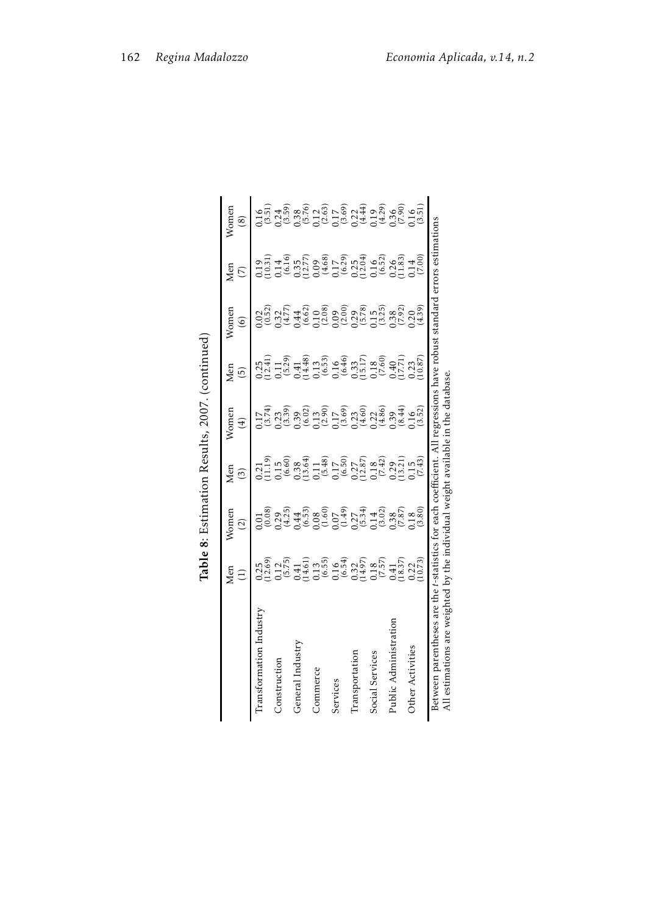|                                                                                                                                                                                                                   | Table                                                                                                                                                                                                                                                                                       |                                                                                                                                                                                                                                                                                                               |                                                                                                                                                                                                                                                                                                               | 8: Estimation Results, 2007. (continued) |                                                                                                                                                                                                                                         |                  |                            |                           |
|-------------------------------------------------------------------------------------------------------------------------------------------------------------------------------------------------------------------|---------------------------------------------------------------------------------------------------------------------------------------------------------------------------------------------------------------------------------------------------------------------------------------------|---------------------------------------------------------------------------------------------------------------------------------------------------------------------------------------------------------------------------------------------------------------------------------------------------------------|---------------------------------------------------------------------------------------------------------------------------------------------------------------------------------------------------------------------------------------------------------------------------------------------------------------|------------------------------------------|-----------------------------------------------------------------------------------------------------------------------------------------------------------------------------------------------------------------------------------------|------------------|----------------------------|---------------------------|
|                                                                                                                                                                                                                   | Men<br>$\Xi$                                                                                                                                                                                                                                                                                | Vomer<br>$\widehat{c}$                                                                                                                                                                                                                                                                                        | Men<br>$\widetilde{S}$                                                                                                                                                                                                                                                                                        | Vomer<br>$\left( 4\right)$               | Men<br>$\widetilde{5}$                                                                                                                                                                                                                  | Womer<br>$\circ$ | ${\tt Men}$<br>$\tilde{C}$ | $N$ omer<br>$\circledast$ |
| Iransformation Industr                                                                                                                                                                                            |                                                                                                                                                                                                                                                                                             |                                                                                                                                                                                                                                                                                                               |                                                                                                                                                                                                                                                                                                               |                                          |                                                                                                                                                                                                                                         |                  |                            |                           |
| Construction                                                                                                                                                                                                      |                                                                                                                                                                                                                                                                                             |                                                                                                                                                                                                                                                                                                               |                                                                                                                                                                                                                                                                                                               |                                          |                                                                                                                                                                                                                                         |                  |                            |                           |
| General Industry                                                                                                                                                                                                  |                                                                                                                                                                                                                                                                                             |                                                                                                                                                                                                                                                                                                               |                                                                                                                                                                                                                                                                                                               |                                          |                                                                                                                                                                                                                                         |                  |                            |                           |
| Commerce                                                                                                                                                                                                          | $\begin{array}{l} 0.25 \\ 0.12.69 \\ 0.14.7 \\ 0.14.7 \\ 0.14.7 \\ 0.14.7 \\ 0.14.7 \\ 0.14.8 \\ 0.14.8 \\ 0.14.8 \\ 0.14.8 \\ 0.14.8 \\ 0.14.8 \\ 0.14.8 \\ 0.14.8 \\ 0.14.8 \\ 0.14.8 \\ 0.14.8 \\ 0.14.8 \\ 0.14.8 \\ 0.14.8 \\ 0.14.8 \\ 0.14.8 \\ 0.14.8 \\ 0.14.8 \\ 0.14.8 \\ 0.14.$ |                                                                                                                                                                                                                                                                                                               | $\begin{array}{l} 21.11 \\ 21.12 \\ 31.13 \\ 41.14 \\ 51.15 \\ 60 \\ 60 \\ 7.16 \\ 7.17 \\ 7.18 \\ 7.19 \\ 7.19 \\ 7.19 \\ 7.19 \\ 7.19 \\ 7.19 \\ 7.19 \\ 7.19 \\ 7.19 \\ 7.19 \\ 7.19 \\ 7.19 \\ 7.19 \\ 7.19 \\ 7.19 \\ 7.19 \\ 7.19 \\ 7.19 \\ 7.19 \\ 7.19 \\ 7.19 \\ 7.19 \\ 7.19 \\ 7.19 \\ 7.19 \\ 7$ |                                          | 0.25<br>0.11 1, 38 1, 38 1, 38 1, 38 1, 38 1, 38 1, 38 1, 38 1, 38 1, 38 1, 38 1, 38 1, 38 1, 38 1, 38 1, 38 1, 3<br>0.1 38 1, 4.4 38 1, 38 1, 38 1, 38 1, 38 1, 38 1, 38 1, 38 1, 38 1, 38 1, 38 1, 38 1, 38 1, 38 1, 38 1, 38 1,<br>0 |                  |                            |                           |
| Services                                                                                                                                                                                                          |                                                                                                                                                                                                                                                                                             |                                                                                                                                                                                                                                                                                                               |                                                                                                                                                                                                                                                                                                               |                                          |                                                                                                                                                                                                                                         |                  |                            |                           |
| <b>Transportation</b>                                                                                                                                                                                             |                                                                                                                                                                                                                                                                                             |                                                                                                                                                                                                                                                                                                               |                                                                                                                                                                                                                                                                                                               |                                          |                                                                                                                                                                                                                                         |                  |                            |                           |
| Social Services                                                                                                                                                                                                   |                                                                                                                                                                                                                                                                                             |                                                                                                                                                                                                                                                                                                               |                                                                                                                                                                                                                                                                                                               |                                          |                                                                                                                                                                                                                                         |                  |                            |                           |
| Public Administration                                                                                                                                                                                             |                                                                                                                                                                                                                                                                                             |                                                                                                                                                                                                                                                                                                               |                                                                                                                                                                                                                                                                                                               |                                          |                                                                                                                                                                                                                                         |                  |                            |                           |
| Other Activities                                                                                                                                                                                                  |                                                                                                                                                                                                                                                                                             | $\begin{array}{l} 0.01 \\ 0.08 \\ 0.29 \\ 0.44 \\ 0.65 \\ 0.65 \\ 0.07 \\ 0.08 \\ 0.09 \\ 0.01 \\ 0.01 \\ 0.01 \\ 0.01 \\ 0.01 \\ 0.01 \\ 0.01 \\ 0.01 \\ 0.01 \\ 0.01 \\ 0.01 \\ 0.01 \\ 0.01 \\ 0.01 \\ 0.01 \\ 0.01 \\ 0.01 \\ 0.01 \\ 0.01 \\ 0.01 \\ 0.01 \\ 0.01 \\ 0.01 \\ 0.01 \\ 0.01 \\ 0.01 \\ 0.$ |                                                                                                                                                                                                                                                                                                               |                                          |                                                                                                                                                                                                                                         |                  |                            |                           |
| Between parentheses are the <i>t</i> -statistics for each coefficient. All regressions have robust standard errors estimations<br>All estimations are weighted by the individual weight available in the database |                                                                                                                                                                                                                                                                                             |                                                                                                                                                                                                                                                                                                               |                                                                                                                                                                                                                                                                                                               |                                          |                                                                                                                                                                                                                                         |                  |                            |                           |

| ı<br>₹<br>ļ<br>i<br>.<br>. |
|----------------------------|
| にくへい                       |
|                            |
| i<br>ׇ֦                    |
|                            |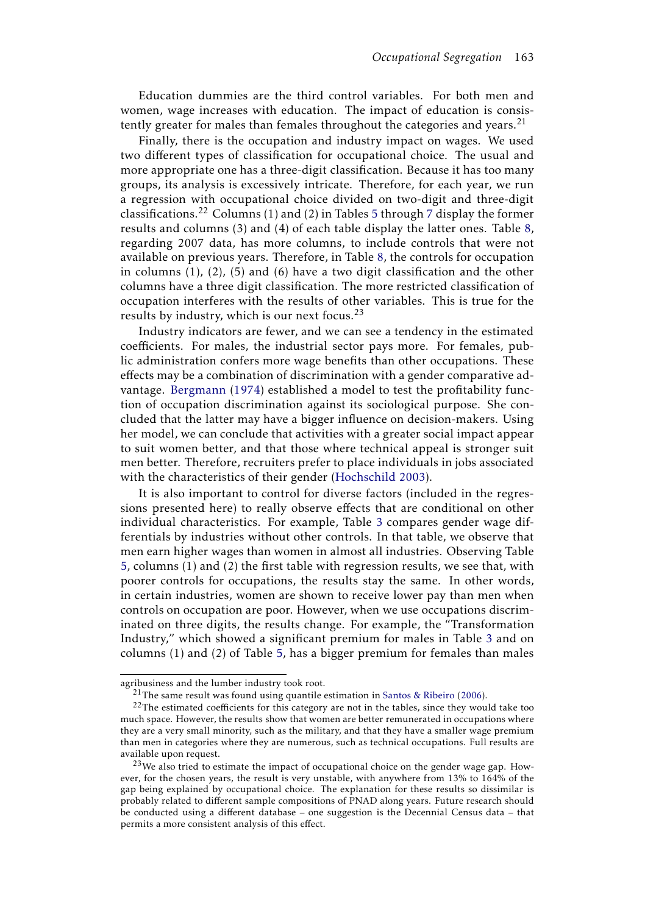Education dummies are the third control variables. For both men and women, wage increases with education. The impact of education is consistently greater for males than females throughout the categories and years.<sup>21</sup>

Finally, there is the occupation and industry impact on wages. We used two different types of classification for occupational choice. The usual and more appropriate one has a three-digit classification. Because it has too many groups, its analysis is excessively intricate. Therefore, for each year, we run a regression with occupational choice divided on two-digit and three-digit classifications.<sup>22</sup> Columns (1) and (2) in Tables 5 through 7 display the former results and columns (3) and (4) of each table display the latter ones. Table 8, regarding 2007 data, has more columns, to include controls that were not available on previous years. Therefore, in Table 8, the controls for occupation in columns (1), (2), (5) and (6) have a two digit classification and the other columns have a three digit classification. The more restricted classification of occupation interferes with the results of other variables. This is true for the results by industry, which is our next focus.<sup>23</sup>

Industry indicators are fewer, and we can see a tendency in the estimated coefficients. For males, the industrial sector pays more. For females, public administration confers more wage benefits than other occupations. These effects may be a combination of discrimination with a gender comparative advantage. Bergmann (1974) established a model to test the profitability function of occupation discrimination against its sociological purpose. She concluded that the latter may have a bigger influence on decision-makers. Using her model, we can conclude that activities with a greater social impact appear to suit women better, and that those where technical appeal is stronger suit men better. Therefore, recruiters prefer to place individuals in jobs associated with the characteristics of their gender (Hochschild 2003).

It is also important to control for diverse factors (included in the regressions presented here) to really observe effects that are conditional on other individual characteristics. For example, Table 3 compares gender wage differentials by industries without other controls. In that table, we observe that men earn higher wages than women in almost all industries. Observing Table 5, columns (1) and (2) the first table with regression results, we see that, with poorer controls for occupations, the results stay the same. In other words, in certain industries, women are shown to receive lower pay than men when controls on occupation are poor. However, when we use occupations discriminated on three digits, the results change. For example, the "Transformation Industry," which showed a significant premium for males in Table 3 and on columns (1) and (2) of Table 5, has a bigger premium for females than males

agribusiness and the lumber industry took root.

 $21$ The same result was found using quantile estimation in Santos & Ribeiro (2006).

<sup>&</sup>lt;sup>22</sup>The estimated coefficients for this category are not in the tables, since they would take too much space. However, the results show that women are better remunerated in occupations where they are a very small minority, such as the military, and that they have a smaller wage premium than men in categories where they are numerous, such as technical occupations. Full results are available upon request.

 $23$ We also tried to estimate the impact of occupational choice on the gender wage gap. However, for the chosen years, the result is very unstable, with anywhere from 13% to 164% of the gap being explained by occupational choice. The explanation for these results so dissimilar is probably related to different sample compositions of PNAD along years. Future research should be conducted using a different database – one suggestion is the Decennial Census data – that permits a more consistent analysis of this effect.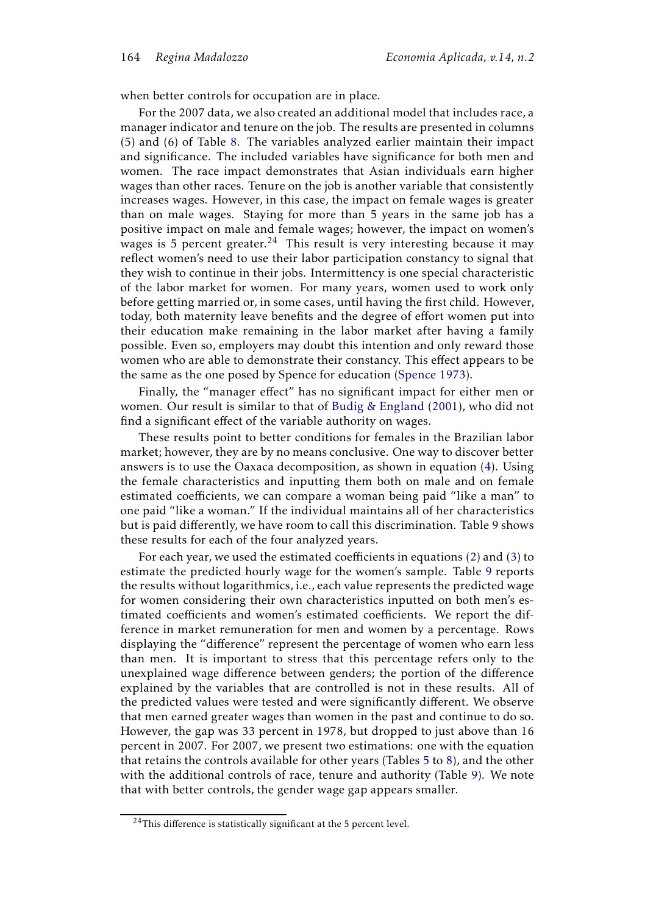when better controls for occupation are in place.

For the 2007 data, we also created an additional model that includes race, a manager indicator and tenure on the job. The results are presented in columns (5) and (6) of Table 8. The variables analyzed earlier maintain their impact and significance. The included variables have significance for both men and women. The race impact demonstrates that Asian individuals earn higher wages than other races. Tenure on the job is another variable that consistently increases wages. However, in this case, the impact on female wages is greater than on male wages. Staying for more than 5 years in the same job has a positive impact on male and female wages; however, the impact on women's wages is 5 percent greater.<sup>24</sup> This result is very interesting because it may reflect women's need to use their labor participation constancy to signal that they wish to continue in their jobs. Intermittency is one special characteristic of the labor market for women. For many years, women used to work only before getting married or, in some cases, until having the first child. However, today, both maternity leave benefits and the degree of effort women put into their education make remaining in the labor market after having a family possible. Even so, employers may doubt this intention and only reward those women who are able to demonstrate their constancy. This effect appears to be the same as the one posed by Spence for education (Spence 1973).

Finally, the "manager effect" has no significant impact for either men or women. Our result is similar to that of Budig & England (2001), who did not find a significant effect of the variable authority on wages.

These results point to better conditions for females in the Brazilian labor market; however, they are by no means conclusive. One way to discover better answers is to use the Oaxaca decomposition, as shown in equation (4). Using the female characteristics and inputting them both on male and on female estimated coefficients, we can compare a woman being paid "like a man" to one paid "like a woman." If the individual maintains all of her characteristics but is paid differently, we have room to call this discrimination. Table 9 shows these results for each of the four analyzed years.

For each year, we used the estimated coefficients in equations (2) and (3) to estimate the predicted hourly wage for the women's sample. Table 9 reports the results without logarithmics, i.e., each value represents the predicted wage for women considering their own characteristics inputted on both men's estimated coefficients and women's estimated coefficients. We report the difference in market remuneration for men and women by a percentage. Rows displaying the "difference" represent the percentage of women who earn less than men. It is important to stress that this percentage refers only to the unexplained wage difference between genders; the portion of the difference explained by the variables that are controlled is not in these results. All of the predicted values were tested and were significantly different. We observe that men earned greater wages than women in the past and continue to do so. However, the gap was 33 percent in 1978, but dropped to just above than 16 percent in 2007. For 2007, we present two estimations: one with the equation that retains the controls available for other years (Tables 5 to 8), and the other with the additional controls of race, tenure and authority (Table 9). We note that with better controls, the gender wage gap appears smaller.

 $24$ This difference is statistically significant at the 5 percent level.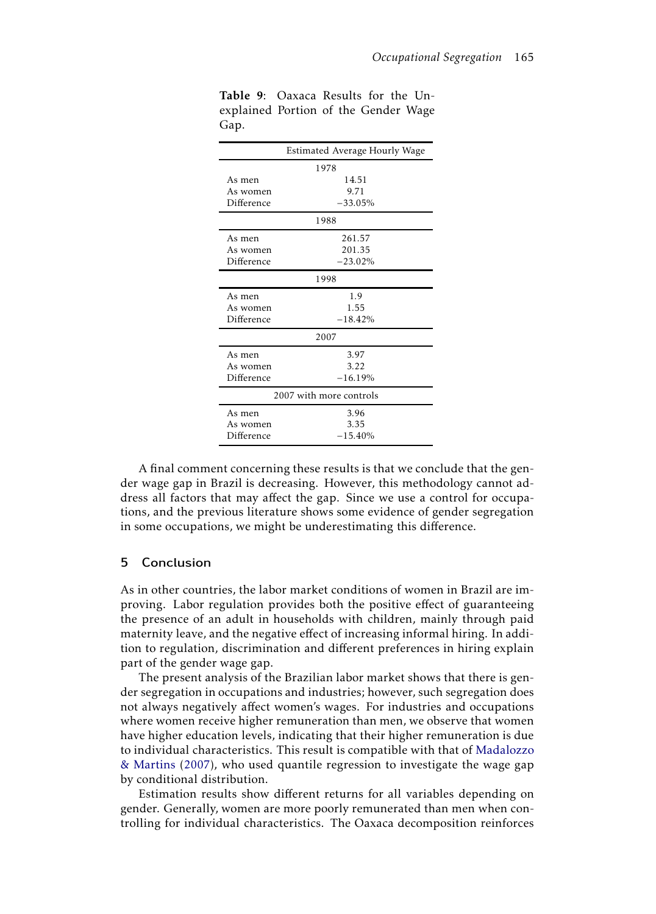|            | Estimated Average Hourly Wage |
|------------|-------------------------------|
|            | 1978                          |
| As men     | 14.51                         |
| As women   | 9.71                          |
| Difference | $-33.05\%$                    |
|            | 1988                          |
| As men     | 261.57                        |
| As women   | 201.35                        |
| Difference | $-23.02%$                     |
|            | 1998                          |
| As men     | 1.9                           |
| As women   | 1.55                          |
| Difference | $-18.42%$                     |
|            | 2007                          |
| As men     | 3.97                          |
| As women   | 3.22                          |
| Difference | $-16.19%$                     |
|            | 2007 with more controls       |
| As men     | 3.96                          |
| As women   | 3.35                          |
| Difference | $-15.40%$                     |

Table 9: Oaxaca Results for the Unexplained Portion of the Gender Wage Gap.

A final comment concerning these results is that we conclude that the gender wage gap in Brazil is decreasing. However, this methodology cannot address all factors that may affect the gap. Since we use a control for occupations, and the previous literature shows some evidence of gender segregation in some occupations, we might be underestimating this difference.

## 5 Conclusion

As in other countries, the labor market conditions of women in Brazil are improving. Labor regulation provides both the positive effect of guaranteeing the presence of an adult in households with children, mainly through paid maternity leave, and the negative effect of increasing informal hiring. In addition to regulation, discrimination and different preferences in hiring explain part of the gender wage gap.

The present analysis of the Brazilian labor market shows that there is gender segregation in occupations and industries; however, such segregation does not always negatively affect women's wages. For industries and occupations where women receive higher remuneration than men, we observe that women have higher education levels, indicating that their higher remuneration is due to individual characteristics. This result is compatible with that of Madalozzo & Martins (2007), who used quantile regression to investigate the wage gap by conditional distribution.

Estimation results show different returns for all variables depending on gender. Generally, women are more poorly remunerated than men when controlling for individual characteristics. The Oaxaca decomposition reinforces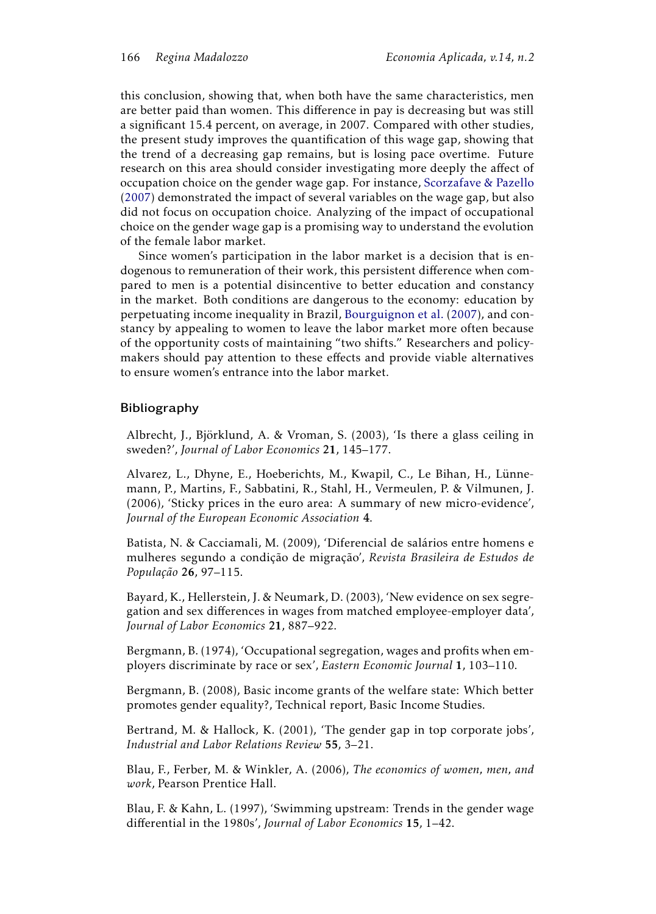this conclusion, showing that, when both have the same characteristics, men are better paid than women. This difference in pay is decreasing but was still a significant 15.4 percent, on average, in 2007. Compared with other studies, the present study improves the quantification of this wage gap, showing that the trend of a decreasing gap remains, but is losing pace overtime. Future research on this area should consider investigating more deeply the affect of occupation choice on the gender wage gap. For instance, Scorzafave & Pazello (2007) demonstrated the impact of several variables on the wage gap, but also did not focus on occupation choice. Analyzing of the impact of occupational choice on the gender wage gap is a promising way to understand the evolution of the female labor market.

Since women's participation in the labor market is a decision that is endogenous to remuneration of their work, this persistent difference when compared to men is a potential disincentive to better education and constancy in the market. Both conditions are dangerous to the economy: education by perpetuating income inequality in Brazil, Bourguignon et al. (2007), and constancy by appealing to women to leave the labor market more often because of the opportunity costs of maintaining "two shifts." Researchers and policymakers should pay attention to these effects and provide viable alternatives to ensure women's entrance into the labor market.

## Bibliography

Albrecht, J., Björklund, A. & Vroman, S. (2003), 'Is there a glass ceiling in sweden?', *Journal of Labor Economics* 21, 145–177.

Alvarez, L., Dhyne, E., Hoeberichts, M., Kwapil, C., Le Bihan, H., Lünnemann, P., Martins, F., Sabbatini, R., Stahl, H., Vermeulen, P. & Vilmunen, J. (2006), 'Sticky prices in the euro area: A summary of new micro-evidence', *Journal of the European Economic Association* 4.

Batista, N. & Cacciamali, M. (2009), 'Diferencial de salários entre homens e mulheres segundo a condição de migração', *Revista Brasileira de Estudos de População* 26, 97–115.

Bayard, K., Hellerstein, J. & Neumark, D. (2003), 'New evidence on sex segregation and sex differences in wages from matched employee-employer data', *Journal of Labor Economics* 21, 887–922.

Bergmann, B. (1974), 'Occupational segregation, wages and profits when employers discriminate by race or sex', *Eastern Economic Journal* 1, 103–110.

Bergmann, B. (2008), Basic income grants of the welfare state: Which better promotes gender equality?, Technical report, Basic Income Studies.

Bertrand, M. & Hallock, K. (2001), 'The gender gap in top corporate jobs', *Industrial and Labor Relations Review* 55, 3–21.

Blau, F., Ferber, M. & Winkler, A. (2006), *The economics of women, men, and work*, Pearson Prentice Hall.

Blau, F. & Kahn, L. (1997), 'Swimming upstream: Trends in the gender wage differential in the 1980s', *Journal of Labor Economics* 15, 1–42.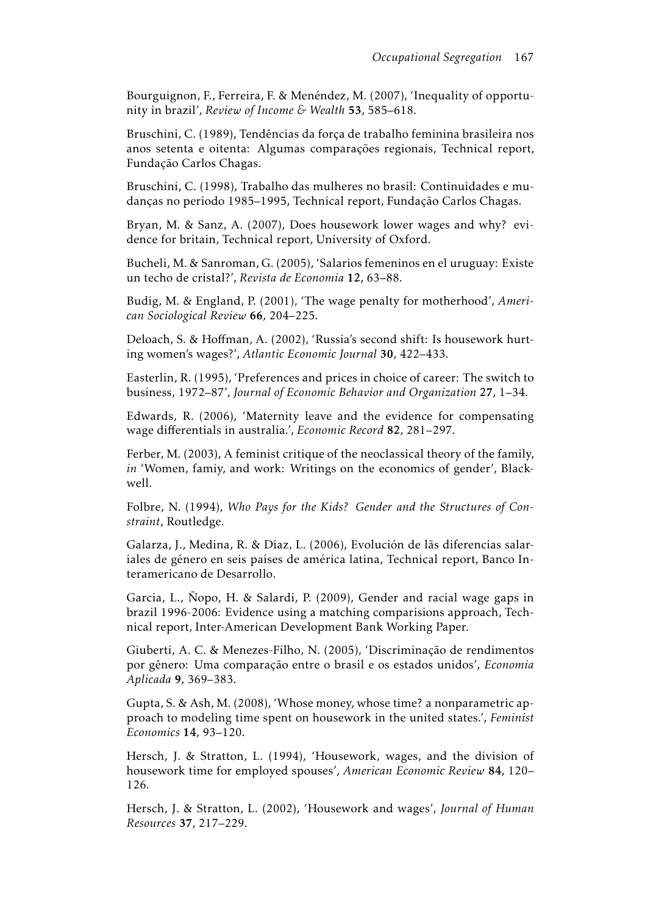Bourguignon, F., Ferreira, F. & Menéndez, M. (2007), 'Inequality of opportunity in brazil', *Review of Income & Wealth* 53, 585–618.

Bruschini, C. (1989), Tendências da força de trabalho feminina brasileira nos anos setenta e oitenta: Algumas comparações regionais, Technical report, Fundação Carlos Chagas.

Bruschini, C. (1998), Trabalho das mulheres no brasil: Continuidades e mudanças no período 1985–1995, Technical report, Fundação Carlos Chagas.

Bryan, M. & Sanz, A. (2007), Does housework lower wages and why? evidence for britain, Technical report, University of Oxford.

Bucheli, M. & Sanroman, G. (2005), 'Salarios femeninos en el uruguay: Existe un techo de cristal?', *Revista de Economia* 12, 63–88.

Budig, M. & England, P. (2001), 'The wage penalty for motherhood', *American Sociological Review* 66, 204–225.

Deloach, S. & Hoffman, A. (2002), 'Russia's second shift: Is housework hurting women's wages?', *Atlantic Economic Journal* 30, 422–433.

Easterlin, R. (1995), 'Preferences and prices in choice of career: The switch to business, 1972–87', *Journal of Economic Behavior and Organization* 27, 1–34.

Edwards, R. (2006), 'Maternity leave and the evidence for compensating wage differentials in australia.', *Economic Record* 82, 281–297.

Ferber, M. (2003), A feminist critique of the neoclassical theory of the family, *in* 'Women, famiy, and work: Writings on the economics of gender', Blackwell.

Folbre, N. (1994), *Who Pays for the Kids? Gender and the Structures of Constraint*, Routledge.

Galarza, J., Medina, R. & Díaz, L. (2006), Evolución de lãs diferencias salariales de género en seis países de américa latina, Technical report, Banco Interamericano de Desarrollo.

Garcia, L., Ñopo, H. & Salardi, P. (2009), Gender and racial wage gaps in brazil 1996-2006: Evidence using a matching comparisions approach, Technical report, Inter-American Development Bank Working Paper.

Giuberti, A. C. & Menezes-Filho, N. (2005), 'Discriminação de rendimentos por gênero: Uma comparação entre o brasil e os estados unidos', *Economia Aplicada* 9, 369–383.

Gupta, S. & Ash, M. (2008), 'Whose money, whose time? a nonparametric approach to modeling time spent on housework in the united states.', *Feminist Economics* 14, 93–120.

Hersch, J. & Stratton, L. (1994), 'Housework, wages, and the division of housework time for employed spouses', *American Economic Review* 84, 120– 126.

Hersch, J. & Stratton, L. (2002), 'Housework and wages', *Journal of Human Resources* 37, 217–229.